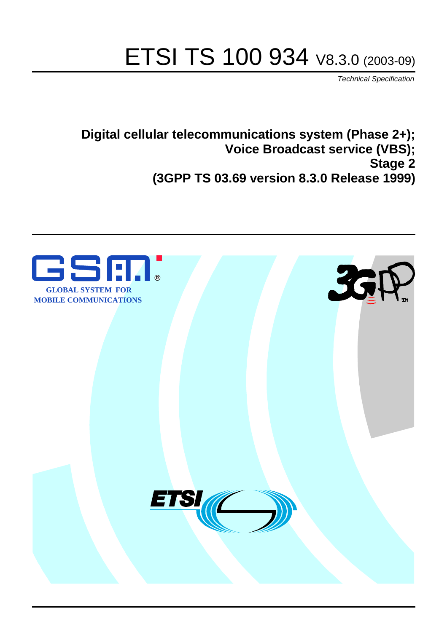# ETSI TS 100 934 V8.3.0 (2003-09)

Technical Specification

**Digital cellular telecommunications system (Phase 2+); Voice Broadcast service (VBS); Stage 2 (3GPP TS 03.69 version 8.3.0 Release 1999)**

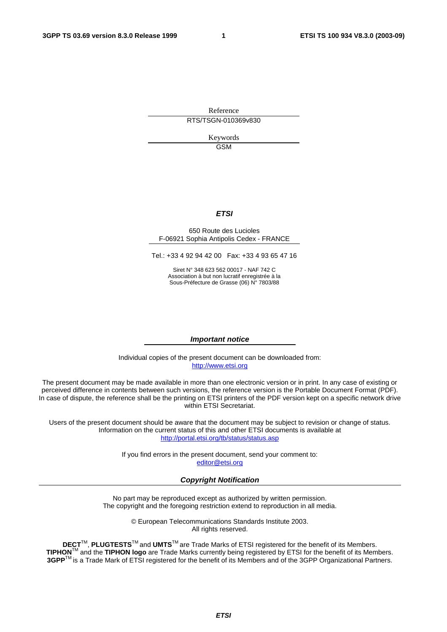Reference RTS/TSGN-010369v830

> Keywords GSM

#### **ETSI**

#### 650 Route des Lucioles F-06921 Sophia Antipolis Cedex - FRANCE

Tel.: +33 4 92 94 42 00 Fax: +33 4 93 65 47 16

Siret N° 348 623 562 00017 - NAF 742 C Association à but non lucratif enregistrée à la Sous-Préfecture de Grasse (06) N° 7803/88

#### **Important notice**

Individual copies of the present document can be downloaded from: [http://www.etsi.org](http://www.etsi.org/)

The present document may be made available in more than one electronic version or in print. In any case of existing or perceived difference in contents between such versions, the reference version is the Portable Document Format (PDF). In case of dispute, the reference shall be the printing on ETSI printers of the PDF version kept on a specific network drive within ETSI Secretariat.

Users of the present document should be aware that the document may be subject to revision or change of status. Information on the current status of this and other ETSI documents is available at <http://portal.etsi.org/tb/status/status.asp>

> If you find errors in the present document, send your comment to: [editor@etsi.org](mailto:editor@etsi.org)

#### **Copyright Notification**

No part may be reproduced except as authorized by written permission. The copyright and the foregoing restriction extend to reproduction in all media.

> © European Telecommunications Standards Institute 2003. All rights reserved.

**DECT**TM, **PLUGTESTS**TM and **UMTS**TM are Trade Marks of ETSI registered for the benefit of its Members. **TIPHON**TM and the **TIPHON logo** are Trade Marks currently being registered by ETSI for the benefit of its Members. **3GPP**TM is a Trade Mark of ETSI registered for the benefit of its Members and of the 3GPP Organizational Partners.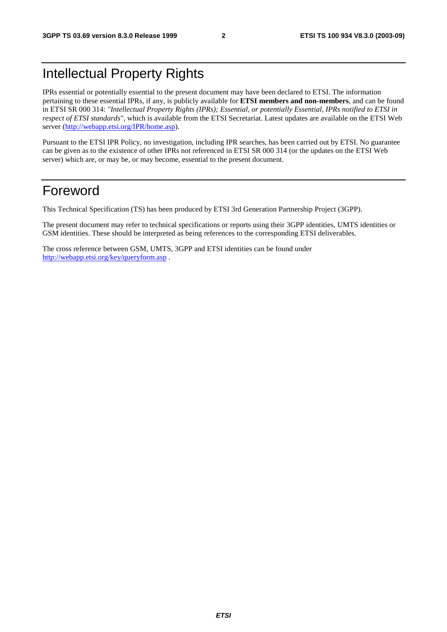## Intellectual Property Rights

IPRs essential or potentially essential to the present document may have been declared to ETSI. The information pertaining to these essential IPRs, if any, is publicly available for **ETSI members and non-members**, and can be found in ETSI SR 000 314: *"Intellectual Property Rights (IPRs); Essential, or potentially Essential, IPRs notified to ETSI in respect of ETSI standards"*, which is available from the ETSI Secretariat. Latest updates are available on the ETSI Web server (<http://webapp.etsi.org/IPR/home.asp>).

Pursuant to the ETSI IPR Policy, no investigation, including IPR searches, has been carried out by ETSI. No guarantee can be given as to the existence of other IPRs not referenced in ETSI SR 000 314 (or the updates on the ETSI Web server) which are, or may be, or may become, essential to the present document.

## Foreword

This Technical Specification (TS) has been produced by ETSI 3rd Generation Partnership Project (3GPP).

The present document may refer to technical specifications or reports using their 3GPP identities, UMTS identities or GSM identities. These should be interpreted as being references to the corresponding ETSI deliverables.

The cross reference between GSM, UMTS, 3GPP and ETSI identities can be found under <http://webapp.etsi.org/key/queryform.asp> .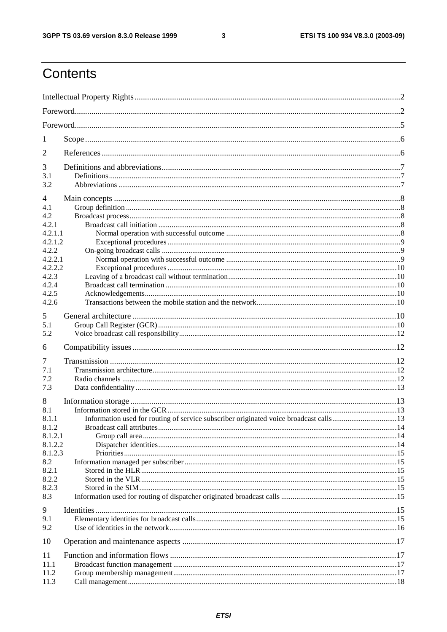$\mathbf{3}$ 

## Contents

| 1            |  |
|--------------|--|
| 2            |  |
| 3            |  |
| 3.1          |  |
| 3.2          |  |
| 4            |  |
| 4.1          |  |
| 4.2<br>4.2.1 |  |
| 4.2.1.1      |  |
| 4.2.1.2      |  |
| 4.2.2        |  |
| 4.2.2.1      |  |
| 4.2.2.2      |  |
| 4.2.3        |  |
| 4.2.4        |  |
| 4.2.5        |  |
| 4.2.6        |  |
| 5            |  |
| 5.1          |  |
| 5.2          |  |
| 6            |  |
| 7            |  |
| 7.1          |  |
| 7.2          |  |
| 7.3          |  |
| 8            |  |
| 8.1          |  |
| 8.1.1        |  |
| 8.1.2        |  |
|              |  |
| 8.1.2.1      |  |
| 8.1.2.2      |  |
| 8.1.2.3      |  |
| 8.2          |  |
| 8.2.1        |  |
| 8.2.2        |  |
| 8.2.3        |  |
| 8.3          |  |
| 9            |  |
| 9.1          |  |
| 9.2          |  |
| 10           |  |
|              |  |
| 11           |  |
| 11.1         |  |
| 11.2<br>11.3 |  |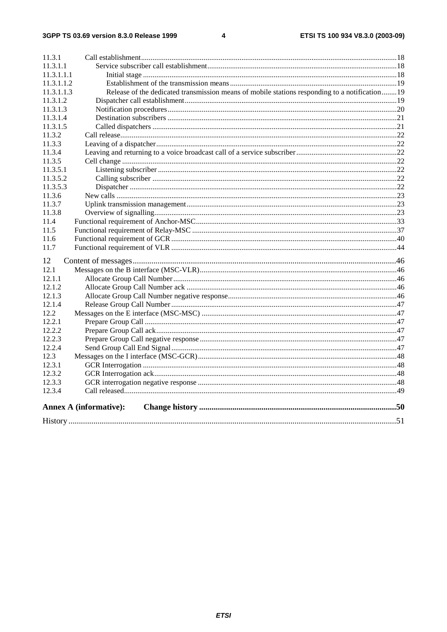#### $\overline{\mathbf{4}}$

| 11.3.1     |                                                                                               |  |
|------------|-----------------------------------------------------------------------------------------------|--|
| 11.3.1.1   |                                                                                               |  |
| 11.3.1.1.1 |                                                                                               |  |
| 11.3.1.1.2 |                                                                                               |  |
| 11.3.1.1.3 | Release of the dedicated transmission means of mobile stations responding to a notification19 |  |
| 11.3.1.2   |                                                                                               |  |
| 11.3.1.3   |                                                                                               |  |
| 11.3.1.4   |                                                                                               |  |
| 11.3.1.5   |                                                                                               |  |
| 11.3.2     |                                                                                               |  |
| 11.3.3     |                                                                                               |  |
| 11.3.4     |                                                                                               |  |
| 11.3.5     |                                                                                               |  |
| 11.3.5.1   |                                                                                               |  |
| 11.3.5.2   |                                                                                               |  |
| 11.3.5.3   |                                                                                               |  |
| 11.3.6     |                                                                                               |  |
| 11.3.7     |                                                                                               |  |
| 11.3.8     |                                                                                               |  |
| 11.4       |                                                                                               |  |
| 11.5       |                                                                                               |  |
| 11.6       |                                                                                               |  |
| 11.7       |                                                                                               |  |
| 12         |                                                                                               |  |
| 12.1       |                                                                                               |  |
| 12.1.1     |                                                                                               |  |
| 12.1.2     |                                                                                               |  |
| 12.1.3     |                                                                                               |  |
| 12.1.4     |                                                                                               |  |
| 12.2       |                                                                                               |  |
| 12.2.1     |                                                                                               |  |
| 12.2.2     |                                                                                               |  |
| 12.2.3     |                                                                                               |  |
| 12.2.4     |                                                                                               |  |
| 12.3       |                                                                                               |  |
| 12.3.1     |                                                                                               |  |
| 12.3.2     |                                                                                               |  |
| 12.3.3     |                                                                                               |  |
| 12.3.4     |                                                                                               |  |
|            | <b>Annex A (informative):</b>                                                                 |  |
|            |                                                                                               |  |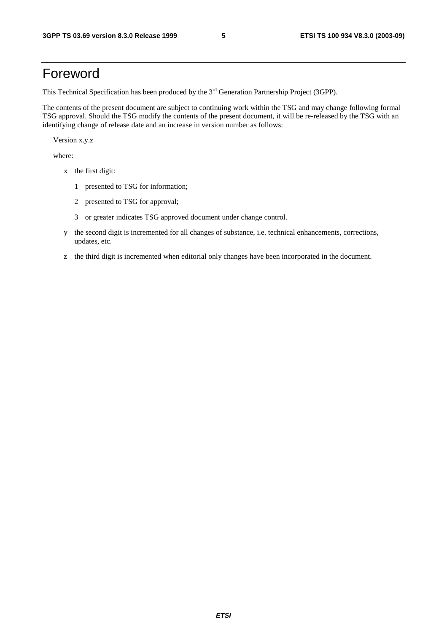## Foreword

This Technical Specification has been produced by the 3<sup>rd</sup> Generation Partnership Project (3GPP).

The contents of the present document are subject to continuing work within the TSG and may change following formal TSG approval. Should the TSG modify the contents of the present document, it will be re-released by the TSG with an identifying change of release date and an increase in version number as follows:

Version x.y.z

where:

- x the first digit:
	- 1 presented to TSG for information;
	- 2 presented to TSG for approval;
	- 3 or greater indicates TSG approved document under change control.
- y the second digit is incremented for all changes of substance, i.e. technical enhancements, corrections, updates, etc.
- z the third digit is incremented when editorial only changes have been incorporated in the document.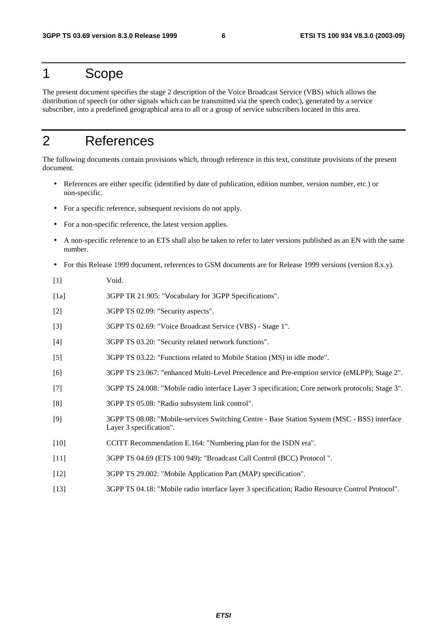## 1 Scope

The present document specifies the stage 2 description of the Voice Broadcast Service (VBS) which allows the distribution of speech (or other signals which can be transmitted via the speech codec), generated by a service subscriber, into a predefined geographical area to all or a group of service subscribers located in this area.

## 2 References

The following documents contain provisions which, through reference in this text, constitute provisions of the present document.

- References are either specific (identified by date of publication, edition number, version number, etc.) or non-specific.
- For a specific reference, subsequent revisions do not apply.
- For a non-specific reference, the latest version applies.
- A non-specific reference to an ETS shall also be taken to refer to later versions published as an EN with the same number.
- For this Release 1999 document, references to GSM documents are for Release 1999 versions (version 8.x.y).
- [1] Void.
- [1a] 3GPP TR 21.905: "Vocabulary for 3GPP Specifications".
- [2] 3GPP TS 02.09: "Security aspects".
- [3] 3GPP TS 02.69: "Voice Broadcast Service (VBS) Stage 1".
- [4] 3GPP TS 03.20: "Security related network functions".
- [5] 3GPP TS 03.22: "Functions related to Mobile Station (MS) in idle mode".
- [6] 3GPP TS 23.067: "enhanced Multi-Level Precedence and Pre-emption service (eMLPP); Stage 2".
- [7] 3GPP TS 24.008: "Mobile radio interface Layer 3 specification; Core network protocols; Stage 3".
- [8] 3GPP TS 05.08: "Radio subsystem link control".
- [9] 3GPP TS 08.08: "Mobile-services Switching Centre Base Station System (MSC BSS) interface Layer 3 specification".
- [10] CCITT Recommendation E.164: "Numbering plan for the ISDN era".
- [11] 3GPP TS 04.69 (ETS 100 949): "Broadcast Call Control (BCC) Protocol ".
- [12] 3GPP TS 29.002: "Mobile Application Part (MAP) specification".
- [13] 3GPP TS 04.18: "Mobile radio interface layer 3 specification; Radio Resource Control Protocol".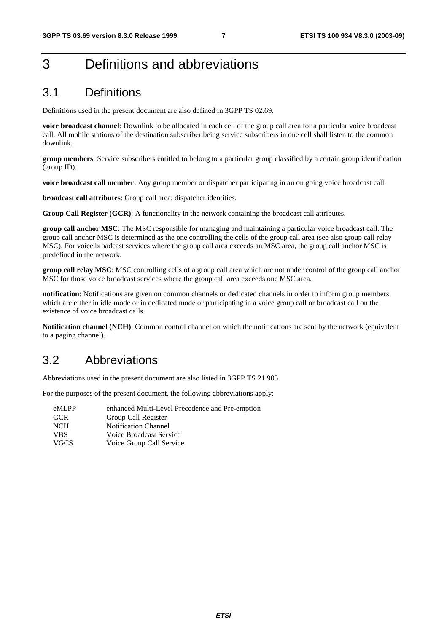## 3 Definitions and abbreviations

## 3.1 Definitions

Definitions used in the present document are also defined in 3GPP TS 02.69.

**voice broadcast channel**: Downlink to be allocated in each cell of the group call area for a particular voice broadcast call. All mobile stations of the destination subscriber being service subscribers in one cell shall listen to the common downlink.

**group members**: Service subscribers entitled to belong to a particular group classified by a certain group identification (group ID).

**voice broadcast call member**: Any group member or dispatcher participating in an on going voice broadcast call.

**broadcast call attributes**: Group call area, dispatcher identities.

**Group Call Register (GCR)**: A functionality in the network containing the broadcast call attributes.

**group call anchor MSC**: The MSC responsible for managing and maintaining a particular voice broadcast call. The group call anchor MSC is determined as the one controlling the cells of the group call area (see also group call relay MSC). For voice broadcast services where the group call area exceeds an MSC area, the group call anchor MSC is predefined in the network.

**group call relay MSC**: MSC controlling cells of a group call area which are not under control of the group call anchor MSC for those voice broadcast services where the group call area exceeds one MSC area.

**notification**: Notifications are given on common channels or dedicated channels in order to inform group members which are either in idle mode or in dedicated mode or participating in a voice group call or broadcast call on the existence of voice broadcast calls.

**Notification channel (NCH)**: Common control channel on which the notifications are sent by the network (equivalent to a paging channel).

## 3.2 Abbreviations

Abbreviations used in the present document are also listed in 3GPP TS 21.905.

For the purposes of the present document, the following abbreviations apply:

| eMLPP       | enhanced Multi-Level Precedence and Pre-emption |
|-------------|-------------------------------------------------|
| <b>GCR</b>  | Group Call Register                             |
| <b>NCH</b>  | <b>Notification Channel</b>                     |
| <b>VBS</b>  | Voice Broadcast Service                         |
| <b>VGCS</b> | Voice Group Call Service                        |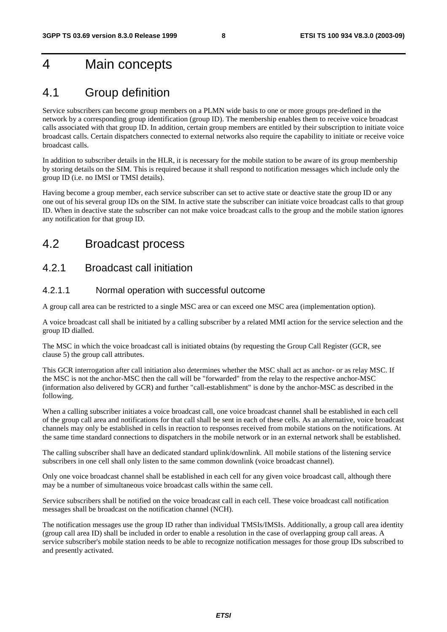## 4 Main concepts

## 4.1 Group definition

Service subscribers can become group members on a PLMN wide basis to one or more groups pre-defined in the network by a corresponding group identification (group ID). The membership enables them to receive voice broadcast calls associated with that group ID. In addition, certain group members are entitled by their subscription to initiate voice broadcast calls. Certain dispatchers connected to external networks also require the capability to initiate or receive voice broadcast calls.

In addition to subscriber details in the HLR, it is necessary for the mobile station to be aware of its group membership by storing details on the SIM. This is required because it shall respond to notification messages which include only the group ID (i.e. no IMSI or TMSI details).

Having become a group member, each service subscriber can set to active state or deactive state the group ID or any one out of his several group IDs on the SIM. In active state the subscriber can initiate voice broadcast calls to that group ID. When in deactive state the subscriber can not make voice broadcast calls to the group and the mobile station ignores any notification for that group ID.

## 4.2 Broadcast process

### 4.2.1 Broadcast call initiation

### 4.2.1.1 Normal operation with successful outcome

A group call area can be restricted to a single MSC area or can exceed one MSC area (implementation option).

A voice broadcast call shall be initiated by a calling subscriber by a related MMI action for the service selection and the group ID dialled.

The MSC in which the voice broadcast call is initiated obtains (by requesting the Group Call Register (GCR, see clause 5) the group call attributes.

This GCR interrogation after call initiation also determines whether the MSC shall act as anchor- or as relay MSC. If the MSC is not the anchor-MSC then the call will be "forwarded" from the relay to the respective anchor-MSC (information also delivered by GCR) and further "call-establishment" is done by the anchor-MSC as described in the following.

When a calling subscriber initiates a voice broadcast call, one voice broadcast channel shall be established in each cell of the group call area and notifications for that call shall be sent in each of these cells. As an alternative, voice broadcast channels may only be established in cells in reaction to responses received from mobile stations on the notifications. At the same time standard connections to dispatchers in the mobile network or in an external network shall be established.

The calling subscriber shall have an dedicated standard uplink/downlink. All mobile stations of the listening service subscribers in one cell shall only listen to the same common downlink (voice broadcast channel).

Only one voice broadcast channel shall be established in each cell for any given voice broadcast call, although there may be a number of simultaneous voice broadcast calls within the same cell.

Service subscribers shall be notified on the voice broadcast call in each cell. These voice broadcast call notification messages shall be broadcast on the notification channel (NCH).

The notification messages use the group ID rather than individual TMSIs/IMSIs. Additionally, a group call area identity (group call area ID) shall be included in order to enable a resolution in the case of overlapping group call areas. A service subscriber's mobile station needs to be able to recognize notification messages for those group IDs subscribed to and presently activated.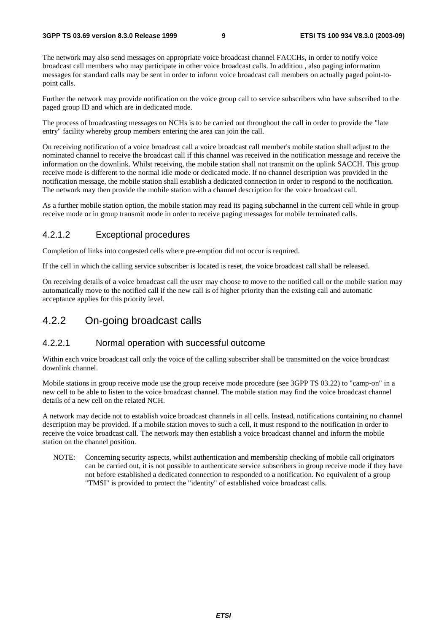The network may also send messages on appropriate voice broadcast channel FACCHs, in order to notify voice broadcast call members who may participate in other voice broadcast calls. In addition , also paging information messages for standard calls may be sent in order to inform voice broadcast call members on actually paged point-topoint calls.

Further the network may provide notification on the voice group call to service subscribers who have subscribed to the paged group ID and which are in dedicated mode.

The process of broadcasting messages on NCHs is to be carried out throughout the call in order to provide the "late entry" facility whereby group members entering the area can join the call.

On receiving notification of a voice broadcast call a voice broadcast call member's mobile station shall adjust to the nominated channel to receive the broadcast call if this channel was received in the notification message and receive the information on the downlink. Whilst receiving, the mobile station shall not transmit on the uplink SACCH. This group receive mode is different to the normal idle mode or dedicated mode. If no channel description was provided in the notification message, the mobile station shall establish a dedicated connection in order to respond to the notification. The network may then provide the mobile station with a channel description for the voice broadcast call.

As a further mobile station option, the mobile station may read its paging subchannel in the current cell while in group receive mode or in group transmit mode in order to receive paging messages for mobile terminated calls.

### 4.2.1.2 Exceptional procedures

Completion of links into congested cells where pre-emption did not occur is required.

If the cell in which the calling service subscriber is located is reset, the voice broadcast call shall be released.

On receiving details of a voice broadcast call the user may choose to move to the notified call or the mobile station may automatically move to the notified call if the new call is of higher priority than the existing call and automatic acceptance applies for this priority level.

### 4.2.2 On-going broadcast calls

### 4.2.2.1 Normal operation with successful outcome

Within each voice broadcast call only the voice of the calling subscriber shall be transmitted on the voice broadcast downlink channel.

Mobile stations in group receive mode use the group receive mode procedure (see 3GPP TS 03.22) to "camp-on" in a new cell to be able to listen to the voice broadcast channel. The mobile station may find the voice broadcast channel details of a new cell on the related NCH.

A network may decide not to establish voice broadcast channels in all cells. Instead, notifications containing no channel description may be provided. If a mobile station moves to such a cell, it must respond to the notification in order to receive the voice broadcast call. The network may then establish a voice broadcast channel and inform the mobile station on the channel position.

NOTE: Concerning security aspects, whilst authentication and membership checking of mobile call originators can be carried out, it is not possible to authenticate service subscribers in group receive mode if they have not before established a dedicated connection to responded to a notification. No equivalent of a group "TMSI" is provided to protect the "identity" of established voice broadcast calls.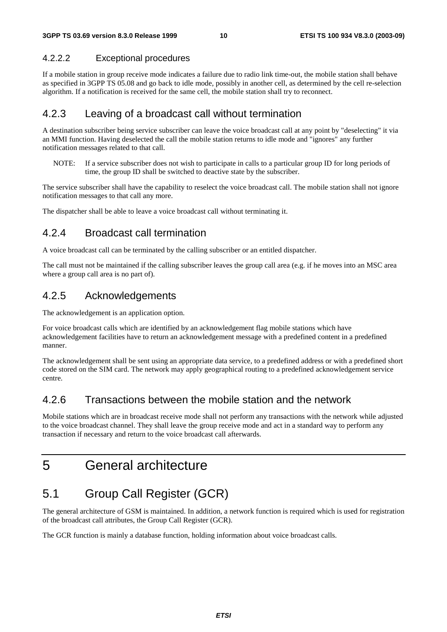### 4.2.2.2 Exceptional procedures

If a mobile station in group receive mode indicates a failure due to radio link time-out, the mobile station shall behave as specified in 3GPP TS 05.08 and go back to idle mode, possibly in another cell, as determined by the cell re-selection algorithm. If a notification is received for the same cell, the mobile station shall try to reconnect.

### 4.2.3 Leaving of a broadcast call without termination

A destination subscriber being service subscriber can leave the voice broadcast call at any point by "deselecting" it via an MMI function. Having deselected the call the mobile station returns to idle mode and "ignores" any further notification messages related to that call.

NOTE: If a service subscriber does not wish to participate in calls to a particular group ID for long periods of time, the group ID shall be switched to deactive state by the subscriber.

The service subscriber shall have the capability to reselect the voice broadcast call. The mobile station shall not ignore notification messages to that call any more.

The dispatcher shall be able to leave a voice broadcast call without terminating it.

### 4.2.4 Broadcast call termination

A voice broadcast call can be terminated by the calling subscriber or an entitled dispatcher.

The call must not be maintained if the calling subscriber leaves the group call area (e.g. if he moves into an MSC area where a group call area is no part of).

### 4.2.5 Acknowledgements

The acknowledgement is an application option.

For voice broadcast calls which are identified by an acknowledgement flag mobile stations which have acknowledgement facilities have to return an acknowledgement message with a predefined content in a predefined manner.

The acknowledgement shall be sent using an appropriate data service, to a predefined address or with a predefined short code stored on the SIM card. The network may apply geographical routing to a predefined acknowledgement service centre.

## 4.2.6 Transactions between the mobile station and the network

Mobile stations which are in broadcast receive mode shall not perform any transactions with the network while adjusted to the voice broadcast channel. They shall leave the group receive mode and act in a standard way to perform any transaction if necessary and return to the voice broadcast call afterwards.

## 5 General architecture

## 5.1 Group Call Register (GCR)

The general architecture of GSM is maintained. In addition, a network function is required which is used for registration of the broadcast call attributes, the Group Call Register (GCR).

The GCR function is mainly a database function, holding information about voice broadcast calls.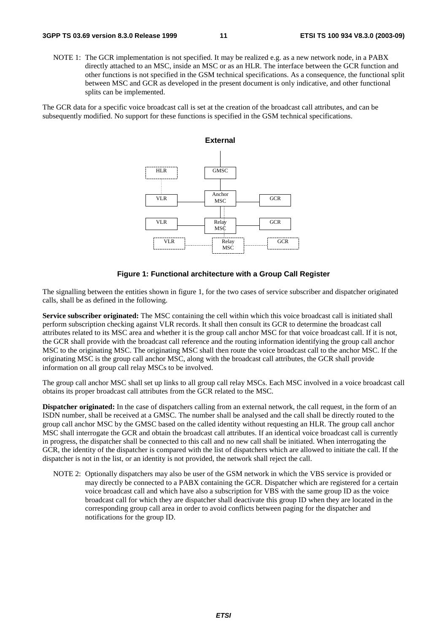NOTE 1: The GCR implementation is not specified. It may be realized e.g. as a new network node, in a PABX directly attached to an MSC, inside an MSC or as an HLR. The interface between the GCR function and other functions is not specified in the GSM technical specifications. As a consequence, the functional split between MSC and GCR as developed in the present document is only indicative, and other functional splits can be implemented.

The GCR data for a specific voice broadcast call is set at the creation of the broadcast call attributes, and can be subsequently modified. No support for these functions is specified in the GSM technical specifications.



#### **Figure 1: Functional architecture with a Group Call Register**

The signalling between the entities shown in figure 1, for the two cases of service subscriber and dispatcher originated calls, shall be as defined in the following.

**Service subscriber originated:** The MSC containing the cell within which this voice broadcast call is initiated shall perform subscription checking against VLR records. It shall then consult its GCR to determine the broadcast call attributes related to its MSC area and whether it is the group call anchor MSC for that voice broadcast call. If it is not, the GCR shall provide with the broadcast call reference and the routing information identifying the group call anchor MSC to the originating MSC. The originating MSC shall then route the voice broadcast call to the anchor MSC. If the originating MSC is the group call anchor MSC, along with the broadcast call attributes, the GCR shall provide information on all group call relay MSCs to be involved.

The group call anchor MSC shall set up links to all group call relay MSCs. Each MSC involved in a voice broadcast call obtains its proper broadcast call attributes from the GCR related to the MSC.

**Dispatcher originated:** In the case of dispatchers calling from an external network, the call request, in the form of an ISDN number, shall be received at a GMSC. The number shall be analysed and the call shall be directly routed to the group call anchor MSC by the GMSC based on the called identity without requesting an HLR. The group call anchor MSC shall interrogate the GCR and obtain the broadcast call attributes. If an identical voice broadcast call is currently in progress, the dispatcher shall be connected to this call and no new call shall be initiated. When interrogating the GCR, the identity of the dispatcher is compared with the list of dispatchers which are allowed to initiate the call. If the dispatcher is not in the list, or an identity is not provided, the network shall reject the call.

NOTE 2: Optionally dispatchers may also be user of the GSM network in which the VBS service is provided or may directly be connected to a PABX containing the GCR. Dispatcher which are registered for a certain voice broadcast call and which have also a subscription for VBS with the same group ID as the voice broadcast call for which they are dispatcher shall deactivate this group ID when they are located in the corresponding group call area in order to avoid conflicts between paging for the dispatcher and notifications for the group ID.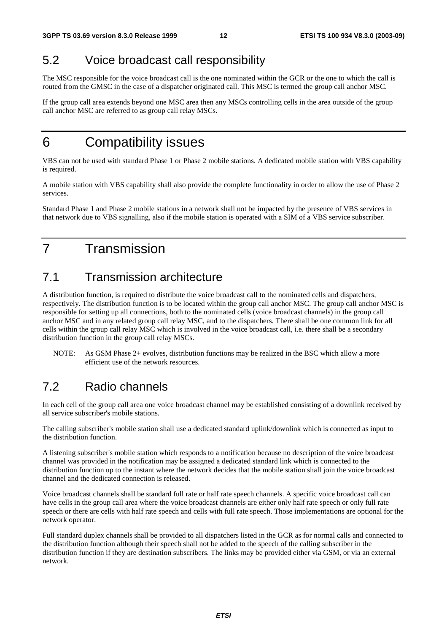## 5.2 Voice broadcast call responsibility

The MSC responsible for the voice broadcast call is the one nominated within the GCR or the one to which the call is routed from the GMSC in the case of a dispatcher originated call. This MSC is termed the group call anchor MSC.

If the group call area extends beyond one MSC area then any MSCs controlling cells in the area outside of the group call anchor MSC are referred to as group call relay MSCs.

## 6 Compatibility issues

VBS can not be used with standard Phase 1 or Phase 2 mobile stations. A dedicated mobile station with VBS capability is required.

A mobile station with VBS capability shall also provide the complete functionality in order to allow the use of Phase 2 services.

Standard Phase 1 and Phase 2 mobile stations in a network shall not be impacted by the presence of VBS services in that network due to VBS signalling, also if the mobile station is operated with a SIM of a VBS service subscriber.

## 7 Transmission

## 7.1 Transmission architecture

A distribution function, is required to distribute the voice broadcast call to the nominated cells and dispatchers, respectively. The distribution function is to be located within the group call anchor MSC. The group call anchor MSC is responsible for setting up all connections, both to the nominated cells (voice broadcast channels) in the group call anchor MSC and in any related group call relay MSC, and to the dispatchers. There shall be one common link for all cells within the group call relay MSC which is involved in the voice broadcast call, i.e. there shall be a secondary distribution function in the group call relay MSCs.

NOTE: As GSM Phase 2+ evolves, distribution functions may be realized in the BSC which allow a more efficient use of the network resources.

## 7.2 Radio channels

In each cell of the group call area one voice broadcast channel may be established consisting of a downlink received by all service subscriber's mobile stations.

The calling subscriber's mobile station shall use a dedicated standard uplink/downlink which is connected as input to the distribution function.

A listening subscriber's mobile station which responds to a notification because no description of the voice broadcast channel was provided in the notification may be assigned a dedicated standard link which is connected to the distribution function up to the instant where the network decides that the mobile station shall join the voice broadcast channel and the dedicated connection is released.

Voice broadcast channels shall be standard full rate or half rate speech channels. A specific voice broadcast call can have cells in the group call area where the voice broadcast channels are either only half rate speech or only full rate speech or there are cells with half rate speech and cells with full rate speech. Those implementations are optional for the network operator.

Full standard duplex channels shall be provided to all dispatchers listed in the GCR as for normal calls and connected to the distribution function although their speech shall not be added to the speech of the calling subscriber in the distribution function if they are destination subscribers. The links may be provided either via GSM, or via an external network.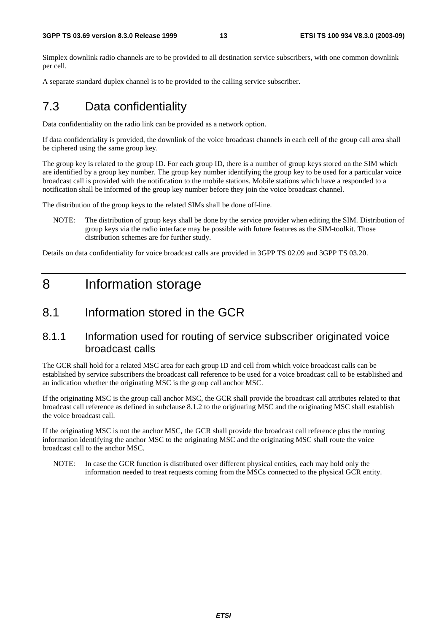Simplex downlink radio channels are to be provided to all destination service subscribers, with one common downlink per cell.

A separate standard duplex channel is to be provided to the calling service subscriber.

## 7.3 Data confidentiality

Data confidentiality on the radio link can be provided as a network option.

If data confidentiality is provided, the downlink of the voice broadcast channels in each cell of the group call area shall be ciphered using the same group key.

The group key is related to the group ID. For each group ID, there is a number of group keys stored on the SIM which are identified by a group key number. The group key number identifying the group key to be used for a particular voice broadcast call is provided with the notification to the mobile stations. Mobile stations which have a responded to a notification shall be informed of the group key number before they join the voice broadcast channel.

The distribution of the group keys to the related SIMs shall be done off-line.

NOTE: The distribution of group keys shall be done by the service provider when editing the SIM. Distribution of group keys via the radio interface may be possible with future features as the SIM-toolkit. Those distribution schemes are for further study.

Details on data confidentiality for voice broadcast calls are provided in 3GPP TS 02.09 and 3GPP TS 03.20.

## 8 Information storage

## 8.1 Information stored in the GCR

### 8.1.1 Information used for routing of service subscriber originated voice broadcast calls

The GCR shall hold for a related MSC area for each group ID and cell from which voice broadcast calls can be established by service subscribers the broadcast call reference to be used for a voice broadcast call to be established and an indication whether the originating MSC is the group call anchor MSC.

If the originating MSC is the group call anchor MSC, the GCR shall provide the broadcast call attributes related to that broadcast call reference as defined in subclause 8.1.2 to the originating MSC and the originating MSC shall establish the voice broadcast call.

If the originating MSC is not the anchor MSC, the GCR shall provide the broadcast call reference plus the routing information identifying the anchor MSC to the originating MSC and the originating MSC shall route the voice broadcast call to the anchor MSC.

NOTE: In case the GCR function is distributed over different physical entities, each may hold only the information needed to treat requests coming from the MSCs connected to the physical GCR entity.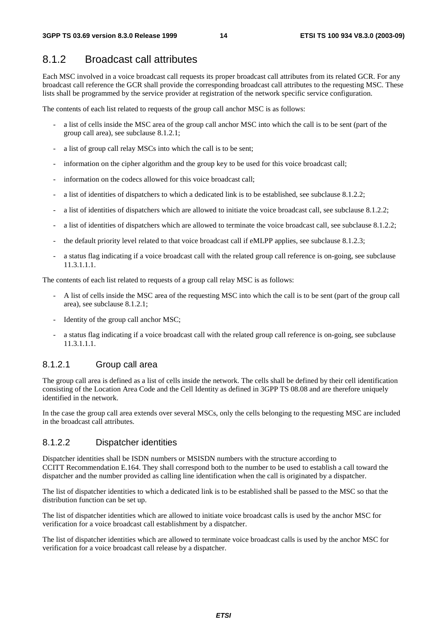### 8.1.2 Broadcast call attributes

Each MSC involved in a voice broadcast call requests its proper broadcast call attributes from its related GCR. For any broadcast call reference the GCR shall provide the corresponding broadcast call attributes to the requesting MSC. These lists shall be programmed by the service provider at registration of the network specific service configuration.

The contents of each list related to requests of the group call anchor MSC is as follows:

- a list of cells inside the MSC area of the group call anchor MSC into which the call is to be sent (part of the group call area), see subclause 8.1.2.1;
- a list of group call relay MSCs into which the call is to be sent;
- information on the cipher algorithm and the group key to be used for this voice broadcast call;
- information on the codecs allowed for this voice broadcast call;
- a list of identities of dispatchers to which a dedicated link is to be established, see subclause 8.1.2.2;
- a list of identities of dispatchers which are allowed to initiate the voice broadcast call, see subclause 8.1.2.2;
- a list of identities of dispatchers which are allowed to terminate the voice broadcast call, see subclause 8.1.2.2;
- the default priority level related to that voice broadcast call if eMLPP applies, see subclause 8.1.2.3;
- a status flag indicating if a voice broadcast call with the related group call reference is on-going, see subclause 11.3.1.1.1.

The contents of each list related to requests of a group call relay MSC is as follows:

- A list of cells inside the MSC area of the requesting MSC into which the call is to be sent (part of the group call area), see subclause 8.1.2.1;
- Identity of the group call anchor MSC;
- a status flag indicating if a voice broadcast call with the related group call reference is on-going, see subclause 11.3.1.1.1.

### 8.1.2.1 Group call area

The group call area is defined as a list of cells inside the network. The cells shall be defined by their cell identification consisting of the Location Area Code and the Cell Identity as defined in 3GPP TS 08.08 and are therefore uniquely identified in the network.

In the case the group call area extends over several MSCs, only the cells belonging to the requesting MSC are included in the broadcast call attributes.

### 8.1.2.2 Dispatcher identities

Dispatcher identities shall be ISDN numbers or MSISDN numbers with the structure according to CCITT Recommendation E.164. They shall correspond both to the number to be used to establish a call toward the dispatcher and the number provided as calling line identification when the call is originated by a dispatcher.

The list of dispatcher identities to which a dedicated link is to be established shall be passed to the MSC so that the distribution function can be set up.

The list of dispatcher identities which are allowed to initiate voice broadcast calls is used by the anchor MSC for verification for a voice broadcast call establishment by a dispatcher.

The list of dispatcher identities which are allowed to terminate voice broadcast calls is used by the anchor MSC for verification for a voice broadcast call release by a dispatcher.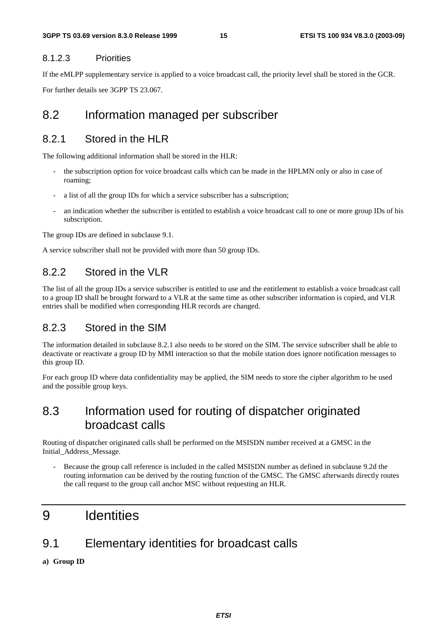### 8.1.2.3 Priorities

If the eMLPP supplementary service is applied to a voice broadcast call, the priority level shall be stored in the GCR. For further details see 3GPP TS 23.067.

## 8.2 Information managed per subscriber

### 8.2.1 Stored in the HLR

The following additional information shall be stored in the HLR:

- the subscription option for voice broadcast calls which can be made in the HPLMN only or also in case of roaming;
- a list of all the group IDs for which a service subscriber has a subscription;
- an indication whether the subscriber is entitled to establish a voice broadcast call to one or more group IDs of his subscription.

The group IDs are defined in subclause 9.1.

A service subscriber shall not be provided with more than 50 group IDs.

### 8.2.2 Stored in the VLR

The list of all the group IDs a service subscriber is entitled to use and the entitlement to establish a voice broadcast call to a group ID shall be brought forward to a VLR at the same time as other subscriber information is copied, and VLR entries shall be modified when corresponding HLR records are changed.

### 8.2.3 Stored in the SIM

The information detailed in subclause 8.2.1 also needs to be stored on the SIM. The service subscriber shall be able to deactivate or reactivate a group ID by MMI interaction so that the mobile station does ignore notification messages to this group ID.

For each group ID where data confidentiality may be applied, the SIM needs to store the cipher algorithm to be used and the possible group keys.

## 8.3 Information used for routing of dispatcher originated broadcast calls

Routing of dispatcher originated calls shall be performed on the MSISDN number received at a GMSC in the Initial\_Address\_Message.

Because the group call reference is included in the called MSISDN number as defined in subclause 9.2d the routing information can be derived by the routing function of the GMSC. The GMSC afterwards directly routes the call request to the group call anchor MSC without requesting an HLR.

## 9 Identities

## 9.1 Elementary identities for broadcast calls

**a) Group ID**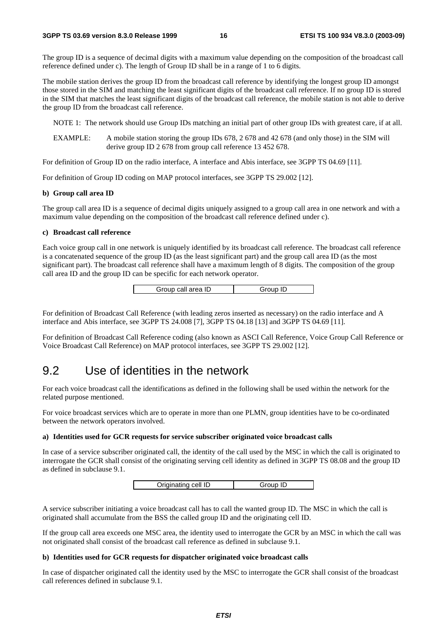The group ID is a sequence of decimal digits with a maximum value depending on the composition of the broadcast call reference defined under c). The length of Group ID shall be in a range of 1 to 6 digits.

The mobile station derives the group ID from the broadcast call reference by identifying the longest group ID amongst those stored in the SIM and matching the least significant digits of the broadcast call reference. If no group ID is stored in the SIM that matches the least significant digits of the broadcast call reference, the mobile station is not able to derive the group ID from the broadcast call reference.

NOTE 1: The network should use Group IDs matching an initial part of other group IDs with greatest care, if at all.

EXAMPLE: A mobile station storing the group IDs 678, 2 678 and 42 678 (and only those) in the SIM will derive group ID 2 678 from group call reference 13 452 678.

For definition of Group ID on the radio interface, A interface and Abis interface, see 3GPP TS 04.69 [11].

For definition of Group ID coding on MAP protocol interfaces, see 3GPP TS 29.002 [12].

#### **b) Group call area ID**

The group call area ID is a sequence of decimal digits uniquely assigned to a group call area in one network and with a maximum value depending on the composition of the broadcast call reference defined under c).

#### **c) Broadcast call reference**

Each voice group call in one network is uniquely identified by its broadcast call reference. The broadcast call reference is a concatenated sequence of the group ID (as the least significant part) and the group call area ID (as the most significant part). The broadcast call reference shall have a maximum length of 8 digits. The composition of the group call area ID and the group ID can be specific for each network operator.

| Group call area ID | Group ID |
|--------------------|----------|
|--------------------|----------|

For definition of Broadcast Call Reference (with leading zeros inserted as necessary) on the radio interface and A interface and Abis interface, see 3GPP TS 24.008 [7], 3GPP TS 04.18 [13] and 3GPP TS 04.69 [11].

For definition of Broadcast Call Reference coding (also known as ASCI Call Reference, Voice Group Call Reference or Voice Broadcast Call Reference) on MAP protocol interfaces, see 3GPP TS 29.002 [12].

### 9.2 Use of identities in the network

For each voice broadcast call the identifications as defined in the following shall be used within the network for the related purpose mentioned.

For voice broadcast services which are to operate in more than one PLMN, group identities have to be co-ordinated between the network operators involved.

#### **a) Identities used for GCR requests for service subscriber originated voice broadcast calls**

In case of a service subscriber originated call, the identity of the call used by the MSC in which the call is originated to interrogate the GCR shall consist of the originating serving cell identity as defined in 3GPP TS 08.08 and the group ID as defined in subclause 9.1.

| Originating cell ID<br>Group ID |
|---------------------------------|
|---------------------------------|

A service subscriber initiating a voice broadcast call has to call the wanted group ID. The MSC in which the call is originated shall accumulate from the BSS the called group ID and the originating cell ID.

If the group call area exceeds one MSC area, the identity used to interrogate the GCR by an MSC in which the call was not originated shall consist of the broadcast call reference as defined in subclause 9.1.

#### **b) Identities used for GCR requests for dispatcher originated voice broadcast calls**

In case of dispatcher originated call the identity used by the MSC to interrogate the GCR shall consist of the broadcast call references defined in subclause 9.1.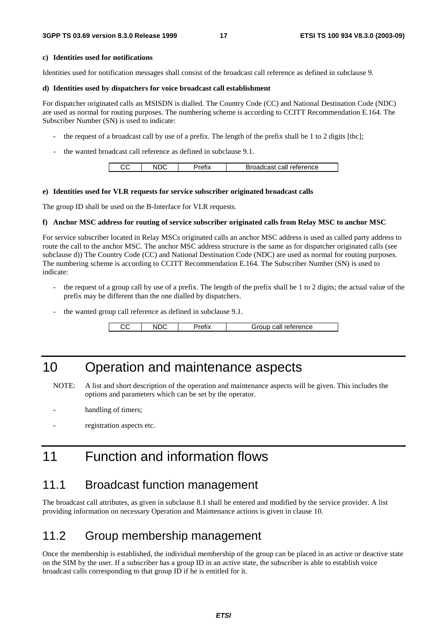#### **c) Identities used for notifications**

Identities used for notification messages shall consist of the broadcast call reference as defined in subclause 9.

#### **d) Identities used by dispatchers for voice broadcast call establishment**

For dispatcher originated calls an MSISDN is dialled. The Country Code (CC) and National Destination Code (NDC) are used as normal for routing purposes. The numbering scheme is according to CCITT Recommendation E.164. The Subscriber Number (SN) is used to indicate:

- the request of a broadcast call by use of a prefix. The length of the prefix shall be 1 to 2 digits [tbc];
- the wanted broadcast call reference as defined in subclause 9.1.

| ∼∼ |  | Broadcast call reference |
|----|--|--------------------------|
|    |  |                          |

#### **e) Identities used for VLR requests for service subscriber originated broadcast calls**

The group ID shall be used on the B-Interface for VLR requests.

#### **f) Anchor MSC address for routing of service subscriber originated calls from Relay MSC to anchor MSC**

For service subscriber located in Relay MSCs originated calls an anchor MSC address is used as called party address to route the call to the anchor MSC. The anchor MSC address structure is the same as for dispatcher originated calls (see subclause d)) The Country Code (CC) and National Destination Code (NDC) are used as normal for routing purposes. The numbering scheme is according to CCITT Recommendation E.164. The Subscriber Number (SN) is used to indicate:

- the request of a group call by use of a prefix. The length of the prefix shall be 1 to 2 digits; the actual value of the prefix may be different than the one dialled by dispatchers.
- the wanted group call reference as defined in subclause 9.1.

CC | NDC | Prefix | Group call reference

## 10 Operation and maintenance aspects

NOTE: A list and short description of the operation and maintenance aspects will be given. This includes the options and parameters which can be set by the operator.

- handling of timers;
- registration aspects etc.

## 11 Function and information flows

### 11.1 Broadcast function management

The broadcast call attributes, as given in subclause 8.1 shall be entered and modified by the service provider. A list providing information on necessary Operation and Maintenance actions is given in clause 10.

## 11.2 Group membership management

Once the membership is established, the individual membership of the group can be placed in an active or deactive state on the SIM by the user. If a subscriber has a group ID in an active state, the subscriber is able to establish voice broadcast calls corresponding to that group ID if he is entitled for it.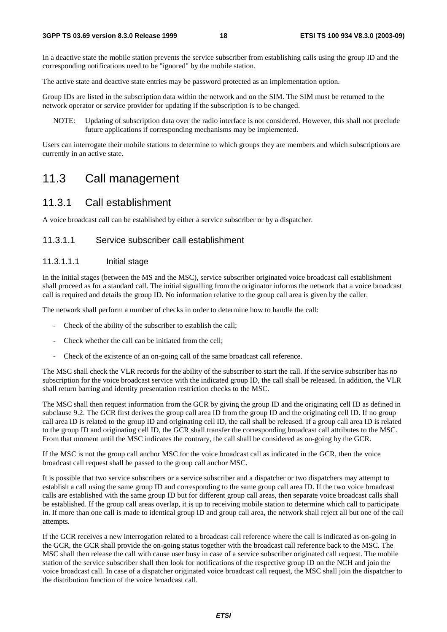In a deactive state the mobile station prevents the service subscriber from establishing calls using the group ID and the corresponding notifications need to be "ignored" by the mobile station.

The active state and deactive state entries may be password protected as an implementation option.

Group IDs are listed in the subscription data within the network and on the SIM. The SIM must be returned to the network operator or service provider for updating if the subscription is to be changed.

NOTE: Updating of subscription data over the radio interface is not considered. However, this shall not preclude future applications if corresponding mechanisms may be implemented.

Users can interrogate their mobile stations to determine to which groups they are members and which subscriptions are currently in an active state.

## 11.3 Call management

### 11.3.1 Call establishment

A voice broadcast call can be established by either a service subscriber or by a dispatcher.

### 11.3.1.1 Service subscriber call establishment

### 11.3.1.1.1 Initial stage

In the initial stages (between the MS and the MSC), service subscriber originated voice broadcast call establishment shall proceed as for a standard call. The initial signalling from the originator informs the network that a voice broadcast call is required and details the group ID. No information relative to the group call area is given by the caller.

The network shall perform a number of checks in order to determine how to handle the call:

- Check of the ability of the subscriber to establish the call;
- Check whether the call can be initiated from the cell;
- Check of the existence of an on-going call of the same broadcast call reference.

The MSC shall check the VLR records for the ability of the subscriber to start the call. If the service subscriber has no subscription for the voice broadcast service with the indicated group ID, the call shall be released. In addition, the VLR shall return barring and identity presentation restriction checks to the MSC.

The MSC shall then request information from the GCR by giving the group ID and the originating cell ID as defined in subclause 9.2. The GCR first derives the group call area ID from the group ID and the originating cell ID. If no group call area ID is related to the group ID and originating cell ID, the call shall be released. If a group call area ID is related to the group ID and originating cell ID, the GCR shall transfer the corresponding broadcast call attributes to the MSC. From that moment until the MSC indicates the contrary, the call shall be considered as on-going by the GCR.

If the MSC is not the group call anchor MSC for the voice broadcast call as indicated in the GCR, then the voice broadcast call request shall be passed to the group call anchor MSC.

It is possible that two service subscribers or a service subscriber and a dispatcher or two dispatchers may attempt to establish a call using the same group ID and corresponding to the same group call area ID. If the two voice broadcast calls are established with the same group ID but for different group call areas, then separate voice broadcast calls shall be established. If the group call areas overlap, it is up to receiving mobile station to determine which call to participate in. If more than one call is made to identical group ID and group call area, the network shall reject all but one of the call attempts.

If the GCR receives a new interrogation related to a broadcast call reference where the call is indicated as on-going in the GCR, the GCR shall provide the on-going status together with the broadcast call reference back to the MSC. The MSC shall then release the call with cause user busy in case of a service subscriber originated call request. The mobile station of the service subscriber shall then look for notifications of the respective group ID on the NCH and join the voice broadcast call. In case of a dispatcher originated voice broadcast call request, the MSC shall join the dispatcher to the distribution function of the voice broadcast call.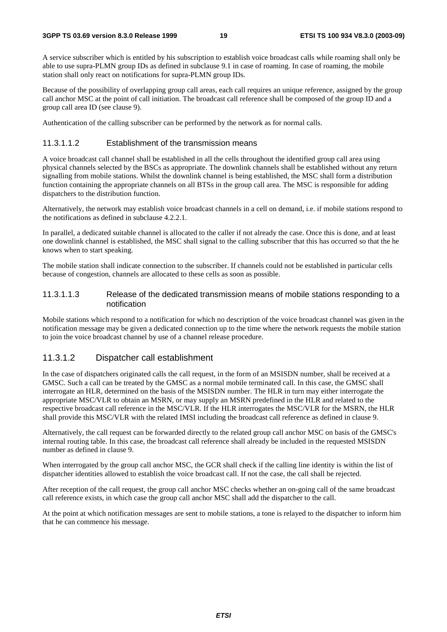A service subscriber which is entitled by his subscription to establish voice broadcast calls while roaming shall only be able to use supra-PLMN group IDs as defined in subclause 9.1 in case of roaming. In case of roaming, the mobile station shall only react on notifications for supra-PLMN group IDs.

Because of the possibility of overlapping group call areas, each call requires an unique reference, assigned by the group call anchor MSC at the point of call initiation. The broadcast call reference shall be composed of the group ID and a group call area ID (see clause 9).

Authentication of the calling subscriber can be performed by the network as for normal calls.

#### 11.3.1.1.2 Establishment of the transmission means

A voice broadcast call channel shall be established in all the cells throughout the identified group call area using physical channels selected by the BSCs as appropriate. The downlink channels shall be established without any return signalling from mobile stations. Whilst the downlink channel is being established, the MSC shall form a distribution function containing the appropriate channels on all BTSs in the group call area. The MSC is responsible for adding dispatchers to the distribution function.

Alternatively, the network may establish voice broadcast channels in a cell on demand, i.e. if mobile stations respond to the notifications as defined in subclause 4.2.2.1.

In parallel, a dedicated suitable channel is allocated to the caller if not already the case. Once this is done, and at least one downlink channel is established, the MSC shall signal to the calling subscriber that this has occurred so that the he knows when to start speaking.

The mobile station shall indicate connection to the subscriber. If channels could not be established in particular cells because of congestion, channels are allocated to these cells as soon as possible.

#### 11.3.1.1.3 Release of the dedicated transmission means of mobile stations responding to a notification

Mobile stations which respond to a notification for which no description of the voice broadcast channel was given in the notification message may be given a dedicated connection up to the time where the network requests the mobile station to join the voice broadcast channel by use of a channel release procedure.

### 11.3.1.2 Dispatcher call establishment

In the case of dispatchers originated calls the call request, in the form of an MSISDN number, shall be received at a GMSC. Such a call can be treated by the GMSC as a normal mobile terminated call. In this case, the GMSC shall interrogate an HLR, determined on the basis of the MSISDN number. The HLR in turn may either interrogate the appropriate MSC/VLR to obtain an MSRN, or may supply an MSRN predefined in the HLR and related to the respective broadcast call reference in the MSC/VLR. If the HLR interrogates the MSC/VLR for the MSRN, the HLR shall provide this MSC/VLR with the related IMSI including the broadcast call reference as defined in clause 9.

Alternatively, the call request can be forwarded directly to the related group call anchor MSC on basis of the GMSC's internal routing table. In this case, the broadcast call reference shall already be included in the requested MSISDN number as defined in clause 9.

When interrogated by the group call anchor MSC, the GCR shall check if the calling line identity is within the list of dispatcher identities allowed to establish the voice broadcast call. If not the case, the call shall be rejected.

After reception of the call request, the group call anchor MSC checks whether an on-going call of the same broadcast call reference exists, in which case the group call anchor MSC shall add the dispatcher to the call.

At the point at which notification messages are sent to mobile stations, a tone is relayed to the dispatcher to inform him that he can commence his message.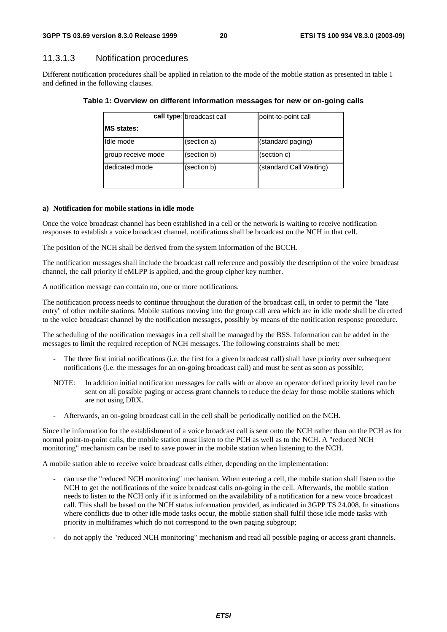### 11.3.1.3 Notification procedures

Different notification procedures shall be applied in relation to the mode of the mobile station as presented in table 1 and defined in the following clauses.

|                    | call type: broadcast call | point-to-point call     |
|--------------------|---------------------------|-------------------------|
| <b>IMS</b> states: |                           |                         |
| IIdle mode         | (section a)               | (standard paging)       |
| group receive mode | (section b)               | (section c)             |
| Idedicated mode    | (section b)               | (standard Call Waiting) |

#### **Table 1: Overview on different information messages for new or on-going calls**

#### **a) Notification for mobile stations in idle mode**

Once the voice broadcast channel has been established in a cell or the network is waiting to receive notification responses to establish a voice broadcast channel, notifications shall be broadcast on the NCH in that cell.

The position of the NCH shall be derived from the system information of the BCCH.

The notification messages shall include the broadcast call reference and possibly the description of the voice broadcast channel, the call priority if eMLPP is applied, and the group cipher key number.

A notification message can contain no, one or more notifications.

The notification process needs to continue throughout the duration of the broadcast call, in order to permit the "late entry" of other mobile stations. Mobile stations moving into the group call area which are in idle mode shall be directed to the voice broadcast channel by the notification messages, possibly by means of the notification response procedure.

The scheduling of the notification messages in a cell shall be managed by the BSS. Information can be added in the messages to limit the required reception of NCH messages. The following constraints shall be met:

- The three first initial notifications (i.e. the first for a given broadcast call) shall have priority over subsequent notifications (i.e. the messages for an on-going broadcast call) and must be sent as soon as possible;
- NOTE: In addition initial notification messages for calls with or above an operator defined priority level can be sent on all possible paging or access grant channels to reduce the delay for those mobile stations which are not using DRX.
- Afterwards, an on-going broadcast call in the cell shall be periodically notified on the NCH.

Since the information for the establishment of a voice broadcast call is sent onto the NCH rather than on the PCH as for normal point-to-point calls, the mobile station must listen to the PCH as well as to the NCH. A "reduced NCH monitoring" mechanism can be used to save power in the mobile station when listening to the NCH.

A mobile station able to receive voice broadcast calls either, depending on the implementation:

- can use the "reduced NCH monitoring" mechanism. When entering a cell, the mobile station shall listen to the NCH to get the notifications of the voice broadcast calls on-going in the cell. Afterwards, the mobile station needs to listen to the NCH only if it is informed on the availability of a notification for a new voice broadcast call. This shall be based on the NCH status information provided, as indicated in 3GPP TS 24.008. In situations where conflicts due to other idle mode tasks occur, the mobile station shall fulfil those idle mode tasks with priority in multiframes which do not correspond to the own paging subgroup;
- do not apply the "reduced NCH monitoring" mechanism and read all possible paging or access grant channels.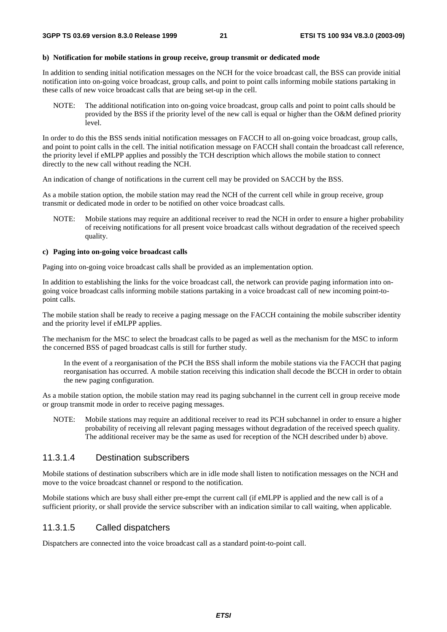#### **b) Notification for mobile stations in group receive, group transmit or dedicated mode**

In addition to sending initial notification messages on the NCH for the voice broadcast call, the BSS can provide initial notification into on-going voice broadcast, group calls, and point to point calls informing mobile stations partaking in these calls of new voice broadcast calls that are being set-up in the cell.

NOTE: The additional notification into on-going voice broadcast, group calls and point to point calls should be provided by the BSS if the priority level of the new call is equal or higher than the O&M defined priority level.

In order to do this the BSS sends initial notification messages on FACCH to all on-going voice broadcast, group calls, and point to point calls in the cell. The initial notification message on FACCH shall contain the broadcast call reference, the priority level if eMLPP applies and possibly the TCH description which allows the mobile station to connect directly to the new call without reading the NCH.

An indication of change of notifications in the current cell may be provided on SACCH by the BSS.

As a mobile station option, the mobile station may read the NCH of the current cell while in group receive, group transmit or dedicated mode in order to be notified on other voice broadcast calls.

NOTE: Mobile stations may require an additional receiver to read the NCH in order to ensure a higher probability of receiving notifications for all present voice broadcast calls without degradation of the received speech quality.

#### **c) Paging into on-going voice broadcast calls**

Paging into on-going voice broadcast calls shall be provided as an implementation option.

In addition to establishing the links for the voice broadcast call, the network can provide paging information into ongoing voice broadcast calls informing mobile stations partaking in a voice broadcast call of new incoming point-topoint calls.

The mobile station shall be ready to receive a paging message on the FACCH containing the mobile subscriber identity and the priority level if eMLPP applies.

The mechanism for the MSC to select the broadcast calls to be paged as well as the mechanism for the MSC to inform the concerned BSS of paged broadcast calls is still for further study.

 In the event of a reorganisation of the PCH the BSS shall inform the mobile stations via the FACCH that paging reorganisation has occurred. A mobile station receiving this indication shall decode the BCCH in order to obtain the new paging configuration.

As a mobile station option, the mobile station may read its paging subchannel in the current cell in group receive mode or group transmit mode in order to receive paging messages.

NOTE: Mobile stations may require an additional receiver to read its PCH subchannel in order to ensure a higher probability of receiving all relevant paging messages without degradation of the received speech quality. The additional receiver may be the same as used for reception of the NCH described under b) above.

### 11.3.1.4 Destination subscribers

Mobile stations of destination subscribers which are in idle mode shall listen to notification messages on the NCH and move to the voice broadcast channel or respond to the notification.

Mobile stations which are busy shall either pre-empt the current call (if eMLPP is applied and the new call is of a sufficient priority, or shall provide the service subscriber with an indication similar to call waiting, when applicable.

### 11.3.1.5 Called dispatchers

Dispatchers are connected into the voice broadcast call as a standard point-to-point call.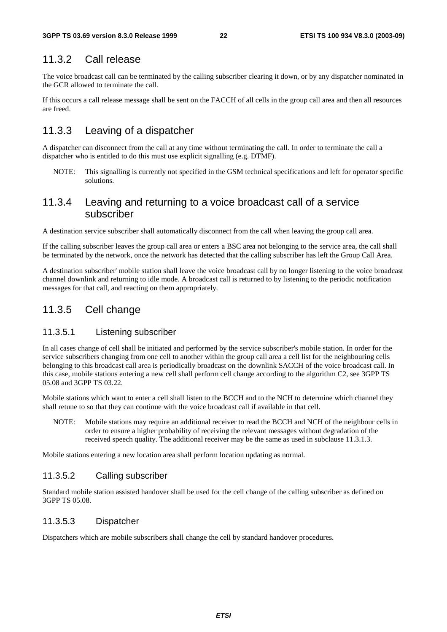## 11.3.2 Call release

The voice broadcast call can be terminated by the calling subscriber clearing it down, or by any dispatcher nominated in the GCR allowed to terminate the call.

If this occurs a call release message shall be sent on the FACCH of all cells in the group call area and then all resources are freed.

## 11.3.3 Leaving of a dispatcher

A dispatcher can disconnect from the call at any time without terminating the call. In order to terminate the call a dispatcher who is entitled to do this must use explicit signalling (e.g. DTMF).

NOTE: This signalling is currently not specified in the GSM technical specifications and left for operator specific solutions.

### 11.3.4 Leaving and returning to a voice broadcast call of a service subscriber

A destination service subscriber shall automatically disconnect from the call when leaving the group call area.

If the calling subscriber leaves the group call area or enters a BSC area not belonging to the service area, the call shall be terminated by the network, once the network has detected that the calling subscriber has left the Group Call Area.

A destination subscriber' mobile station shall leave the voice broadcast call by no longer listening to the voice broadcast channel downlink and returning to idle mode. A broadcast call is returned to by listening to the periodic notification messages for that call, and reacting on them appropriately.

### 11.3.5 Cell change

### 11.3.5.1 Listening subscriber

In all cases change of cell shall be initiated and performed by the service subscriber's mobile station. In order for the service subscribers changing from one cell to another within the group call area a cell list for the neighbouring cells belonging to this broadcast call area is periodically broadcast on the downlink SACCH of the voice broadcast call. In this case, mobile stations entering a new cell shall perform cell change according to the algorithm C2, see 3GPP TS 05.08 and 3GPP TS 03.22.

Mobile stations which want to enter a cell shall listen to the BCCH and to the NCH to determine which channel they shall retune to so that they can continue with the voice broadcast call if available in that cell.

NOTE: Mobile stations may require an additional receiver to read the BCCH and NCH of the neighbour cells in order to ensure a higher probability of receiving the relevant messages without degradation of the received speech quality. The additional receiver may be the same as used in subclause 11.3.1.3.

Mobile stations entering a new location area shall perform location updating as normal.

### 11.3.5.2 Calling subscriber

Standard mobile station assisted handover shall be used for the cell change of the calling subscriber as defined on 3GPP TS 05.08.

### 11.3.5.3 Dispatcher

Dispatchers which are mobile subscribers shall change the cell by standard handover procedures.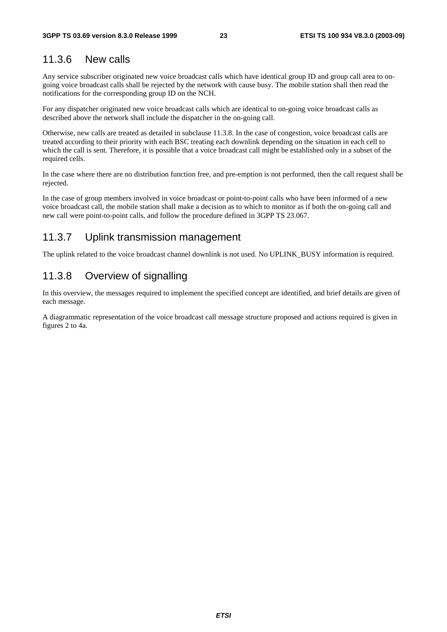### 11.3.6 New calls

Any service subscriber originated new voice broadcast calls which have identical group ID and group call area to ongoing voice broadcast calls shall be rejected by the network with cause busy. The mobile station shall then read the notifications for the corresponding group ID on the NCH.

For any dispatcher originated new voice broadcast calls which are identical to on-going voice broadcast calls as described above the network shall include the dispatcher in the on-going call.

Otherwise, new calls are treated as detailed in subclause 11.3.8. In the case of congestion, voice broadcast calls are treated according to their priority with each BSC treating each downlink depending on the situation in each cell to which the call is sent. Therefore, it is possible that a voice broadcast call might be established only in a subset of the required cells.

In the case where there are no distribution function free, and pre-emption is not performed, then the call request shall be rejected.

In the case of group members involved in voice broadcast or point-to-point calls who have been informed of a new voice broadcast call, the mobile station shall make a decision as to which to monitor as if both the on-going call and new call were point-to-point calls, and follow the procedure defined in 3GPP TS 23.067.

### 11.3.7 Uplink transmission management

The uplink related to the voice broadcast channel downlink is not used. No UPLINK\_BUSY information is required.

### 11.3.8 Overview of signalling

In this overview, the messages required to implement the specified concept are identified, and brief details are given of each message.

A diagrammatic representation of the voice broadcast call message structure proposed and actions required is given in figures 2 to 4a.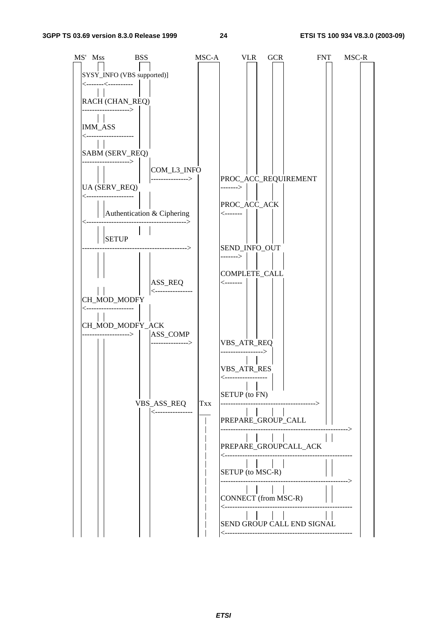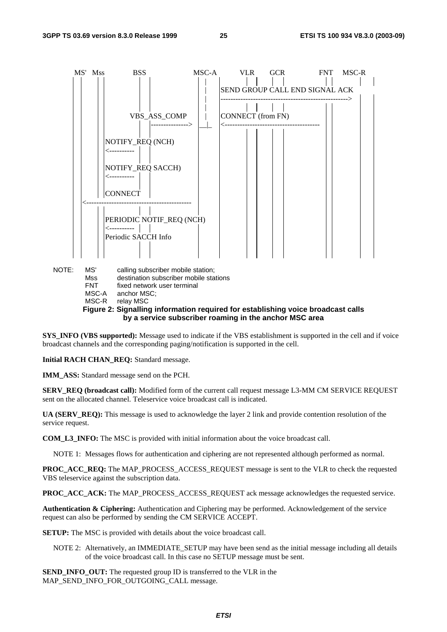

**Figure 2: Signalling information required for establishing voice broadcast calls by a service subscriber roaming in the anchor MSC area** 

**SYS\_INFO (VBS supported):** Message used to indicate if the VBS establishment is supported in the cell and if voice broadcast channels and the corresponding paging/notification is supported in the cell.

**Initial RACH CHAN\_REQ:** Standard message.

**IMM\_ASS:** Standard message send on the PCH.

**SERV\_REQ (broadcast call):** Modified form of the current call request message L3-MM CM SERVICE REQUEST sent on the allocated channel. Teleservice voice broadcast call is indicated.

**UA (SERV\_REQ):** This message is used to acknowledge the layer 2 link and provide contention resolution of the service request.

**COM\_L3\_INFO:** The MSC is provided with initial information about the voice broadcast call.

NOTE 1: Messages flows for authentication and ciphering are not represented although performed as normal.

**PROC\_ACC\_REQ:** The MAP\_PROCESS\_ACCESS\_REQUEST message is sent to the VLR to check the requested VBS teleservice against the subscription data.

**PROC\_ACC\_ACK:** The MAP\_PROCESS\_ACCESS\_REQUEST ack message acknowledges the requested service.

**Authentication & Ciphering:** Authentication and Ciphering may be performed. Acknowledgement of the service request can also be performed by sending the CM SERVICE ACCEPT.

**SETUP:** The MSC is provided with details about the voice broadcast call.

NOTE 2: Alternatively, an IMMEDIATE\_SETUP may have been send as the initial message including all details of the voice broadcast call. In this case no SETUP message must be sent.

**SEND\_INFO\_OUT:** The requested group ID is transferred to the VLR in the MAP\_SEND\_INFO\_FOR\_OUTGOING\_CALL message.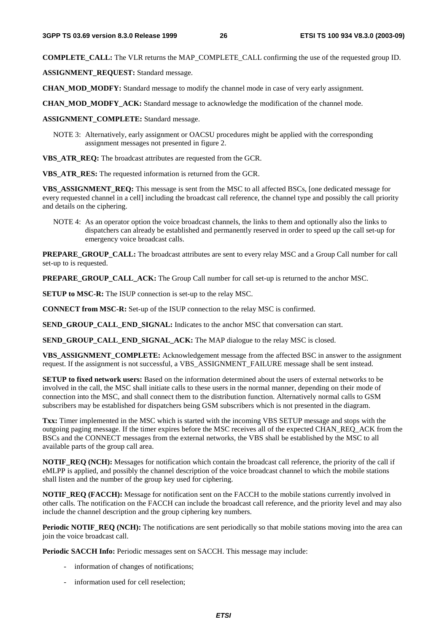**COMPLETE\_CALL:** The VLR returns the MAP\_COMPLETE\_CALL confirming the use of the requested group ID.

**ASSIGNMENT\_REQUEST:** Standard message.

**CHAN\_MOD\_MODFY:** Standard message to modify the channel mode in case of very early assignment.

**CHAN\_MOD\_MODFY\_ACK:** Standard message to acknowledge the modification of the channel mode.

**ASSIGNMENT\_COMPLETE:** Standard message.

- NOTE 3: Alternatively, early assignment or OACSU procedures might be applied with the corresponding assignment messages not presented in figure 2.
- **VBS\_ATR\_REQ:** The broadcast attributes are requested from the GCR.

**VBS\_ATR\_RES:** The requested information is returned from the GCR.

**VBS\_ASSIGNMENT\_REQ:** This message is sent from the MSC to all affected BSCs, [one dedicated message for every requested channel in a cell] including the broadcast call reference, the channel type and possibly the call priority and details on the ciphering.

NOTE 4: As an operator option the voice broadcast channels, the links to them and optionally also the links to dispatchers can already be established and permanently reserved in order to speed up the call set-up for emergency voice broadcast calls.

**PREPARE\_GROUP\_CALL:** The broadcast attributes are sent to every relay MSC and a Group Call number for call set-up to is requested.

**PREPARE GROUP CALL ACK:** The Group Call number for call set-up is returned to the anchor MSC.

**SETUP to MSC-R:** The ISUP connection is set-up to the relay MSC.

**CONNECT from MSC-R:** Set-up of the ISUP connection to the relay MSC is confirmed.

**SEND\_GROUP\_CALL\_END\_SIGNAL:** Indicates to the anchor MSC that conversation can start.

**SEND\_GROUP\_CALL\_END\_SIGNAL\_ACK:** The MAP dialogue to the relay MSC is closed.

**VBS\_ASSIGNMENT\_COMPLETE:** Acknowledgement message from the affected BSC in answer to the assignment request. If the assignment is not successful, a VBS\_ASSIGNMENT\_FAILURE message shall be sent instead.

**SETUP to fixed network users:** Based on the information determined about the users of external networks to be involved in the call, the MSC shall initiate calls to these users in the normal manner, depending on their mode of connection into the MSC, and shall connect them to the distribution function. Alternatively normal calls to GSM subscribers may be established for dispatchers being GSM subscribers which is not presented in the diagram.

**Txx:** Timer implemented in the MSC which is started with the incoming VBS SETUP message and stops with the outgoing paging message. If the timer expires before the MSC receives all of the expected CHAN\_REQ\_ACK from the BSCs and the CONNECT messages from the external networks, the VBS shall be established by the MSC to all available parts of the group call area.

**NOTIF\_REQ (NCH):** Messages for notification which contain the broadcast call reference, the priority of the call if eMLPP is applied, and possibly the channel description of the voice broadcast channel to which the mobile stations shall listen and the number of the group key used for ciphering.

**NOTIF\_REQ (FACCH):** Message for notification sent on the FACCH to the mobile stations currently involved in other calls. The notification on the FACCH can include the broadcast call reference, and the priority level and may also include the channel description and the group ciphering key numbers.

**Periodic NOTIF\_REQ (NCH):** The notifications are sent periodically so that mobile stations moving into the area can join the voice broadcast call.

**Periodic SACCH Info:** Periodic messages sent on SACCH. This message may include:

- information of changes of notifications:
- information used for cell reselection;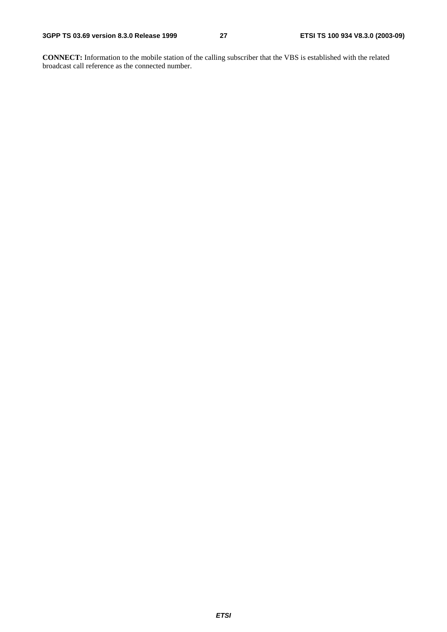**CONNECT:** Information to the mobile station of the calling subscriber that the VBS is established with the related broadcast call reference as the connected number.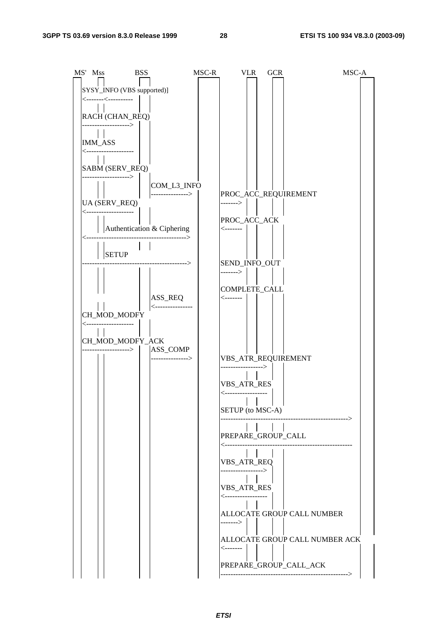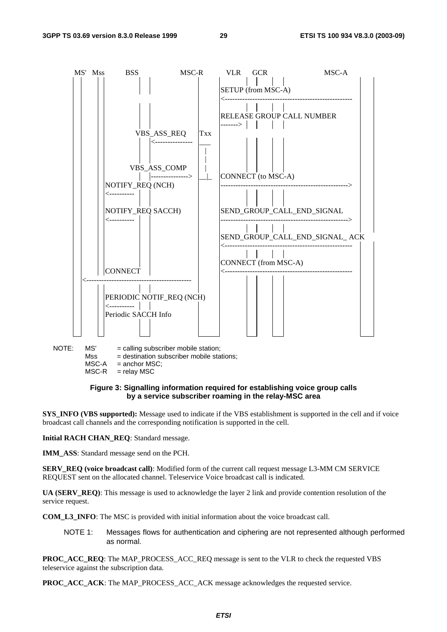

```
MSC-A = anchor MSC;
```
 $MSC-R$  = relay  $MSC$ 

#### **Figure 3: Signalling information required for establishing voice group calls by a service subscriber roaming in the relay-MSC area**

**SYS\_INFO (VBS supported):** Message used to indicate if the VBS establishment is supported in the cell and if voice broadcast call channels and the corresponding notification is supported in the cell.

**Initial RACH CHAN\_REQ**: Standard message.

**IMM\_ASS**: Standard message send on the PCH.

**SERV\_REQ (voice broadcast call)**: Modified form of the current call request message L3-MM CM SERVICE REQUEST sent on the allocated channel. Teleservice Voice broadcast call is indicated.

**UA (SERV\_REQ)**: This message is used to acknowledge the layer 2 link and provide contention resolution of the service request.

**COM\_L3\_INFO**: The MSC is provided with initial information about the voice broadcast call.

NOTE 1: Messages flows for authentication and ciphering are not represented although performed as normal.

**PROC\_ACC\_REQ**: The MAP\_PROCESS\_ACC\_REQ message is sent to the VLR to check the requested VBS teleservice against the subscription data.

**PROC\_ACC\_ACK**: The MAP\_PROCESS\_ACC\_ACK message acknowledges the requested service.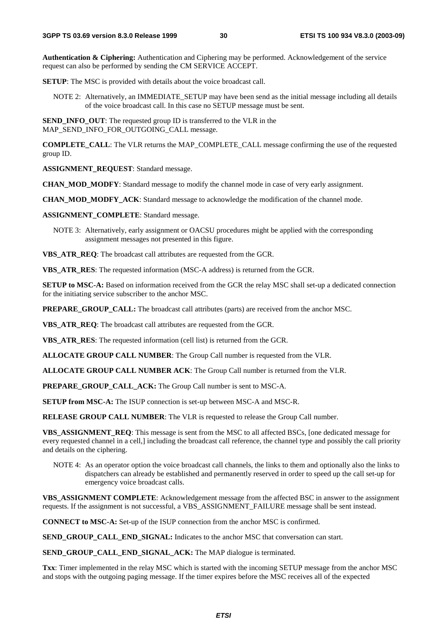**Authentication & Ciphering:** Authentication and Ciphering may be performed. Acknowledgement of the service request can also be performed by sending the CM SERVICE ACCEPT.

**SETUP**: The MSC is provided with details about the voice broadcast call.

NOTE 2: Alternatively, an IMMEDIATE\_SETUP may have been send as the initial message including all details of the voice broadcast call. In this case no SETUP message must be sent.

**SEND\_INFO\_OUT**: The requested group ID is transferred to the VLR in the MAP\_SEND\_INFO\_FOR\_OUTGOING\_CALL message.

**COMPLETE\_CALL:** The VLR returns the MAP\_COMPLETE\_CALL message confirming the use of the requested group ID.

**ASSIGNMENT\_REQUEST:** Standard message.

**CHAN\_MOD\_MODFY**: Standard message to modify the channel mode in case of very early assignment.

**CHAN\_MOD\_MODFY\_ACK**: Standard message to acknowledge the modification of the channel mode.

**ASSIGNMENT\_COMPLETE**: Standard message.

NOTE 3: Alternatively, early assignment or OACSU procedures might be applied with the corresponding assignment messages not presented in this figure.

**VBS\_ATR\_REQ**: The broadcast call attributes are requested from the GCR.

**VBS\_ATR\_RES**: The requested information (MSC-A address) is returned from the GCR.

**SETUP to MSC-A:** Based on information received from the GCR the relay MSC shall set-up a dedicated connection for the initiating service subscriber to the anchor MSC.

**PREPARE GROUP CALL:** The broadcast call attributes (parts) are received from the anchor MSC.

**VBS\_ATR\_REQ**: The broadcast call attributes are requested from the GCR.

**VBS\_ATR\_RES**: The requested information (cell list) is returned from the GCR.

**ALLOCATE GROUP CALL NUMBER**: The Group Call number is requested from the VLR.

**ALLOCATE GROUP CALL NUMBER ACK**: The Group Call number is returned from the VLR.

**PREPARE\_GROUP\_CALL\_ACK:** The Group Call number is sent to MSC-A.

**SETUP from MSC-A:** The ISUP connection is set-up between MSC-A and MSC-R.

**RELEASE GROUP CALL NUMBER**: The VLR is requested to release the Group Call number.

**VBS\_ASSIGNMENT\_REQ**: This message is sent from the MSC to all affected BSCs, [one dedicated message for every requested channel in a cell,] including the broadcast call reference, the channel type and possibly the call priority and details on the ciphering.

NOTE 4: As an operator option the voice broadcast call channels, the links to them and optionally also the links to dispatchers can already be established and permanently reserved in order to speed up the call set-up for emergency voice broadcast calls.

**VBS\_ASSIGNMENT COMPLETE**: Acknowledgement message from the affected BSC in answer to the assignment requests. If the assignment is not successful, a VBS\_ASSIGNMENT\_FAILURE message shall be sent instead.

**CONNECT to MSC-A:** Set-up of the ISUP connection from the anchor MSC is confirmed.

**SEND\_GROUP\_CALL\_END\_SIGNAL:** Indicates to the anchor MSC that conversation can start.

**SEND\_GROUP\_CALL\_END\_SIGNAL\_ACK:** The MAP dialogue is terminated.

**Txx**: Timer implemented in the relay MSC which is started with the incoming SETUP message from the anchor MSC and stops with the outgoing paging message. If the timer expires before the MSC receives all of the expected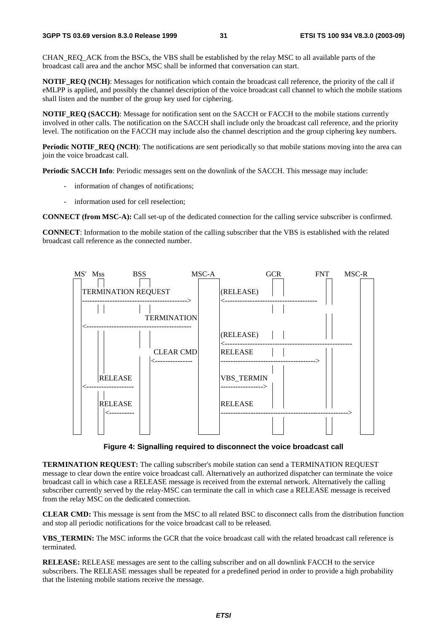CHAN\_REQ\_ACK from the BSCs, the VBS shall be established by the relay MSC to all available parts of the broadcast call area and the anchor MSC shall be informed that conversation can start.

**NOTIF\_REQ (NCH)**: Messages for notification which contain the broadcast call reference, the priority of the call if eMLPP is applied, and possibly the channel description of the voice broadcast call channel to which the mobile stations shall listen and the number of the group key used for ciphering.

**NOTIF\_REO (SACCH)**: Message for notification sent on the SACCH or FACCH to the mobile stations currently involved in other calls. The notification on the SACCH shall include only the broadcast call reference, and the priority level. The notification on the FACCH may include also the channel description and the group ciphering key numbers.

**Periodic NOTIF\_REQ (NCH)**: The notifications are sent periodically so that mobile stations moving into the area can join the voice broadcast call.

**Periodic SACCH Info**: Periodic messages sent on the downlink of the SACCH. This message may include:

- information of changes of notifications;
- information used for cell reselection;

**CONNECT (from MSC-A):** Call set-up of the dedicated connection for the calling service subscriber is confirmed.

**CONNECT**: Information to the mobile station of the calling subscriber that the VBS is established with the related broadcast call reference as the connected number.



**Figure 4: Signalling required to disconnect the voice broadcast call** 

**TERMINATION REQUEST:** The calling subscriber's mobile station can send a TERMINATION REQUEST message to clear down the entire voice broadcast call. Alternatively an authorized dispatcher can terminate the voice broadcast call in which case a RELEASE message is received from the external network. Alternatively the calling subscriber currently served by the relay-MSC can terminate the call in which case a RELEASE message is received from the relay MSC on the dedicated connection.

**CLEAR CMD:** This message is sent from the MSC to all related BSC to disconnect calls from the distribution function and stop all periodic notifications for the voice broadcast call to be released.

**VBS\_TERMIN:** The MSC informs the GCR that the voice broadcast call with the related broadcast call reference is terminated.

**RELEASE:** RELEASE messages are sent to the calling subscriber and on all downlink FACCH to the service subscribers. The RELEASE messages shall be repeated for a predefined period in order to provide a high probability that the listening mobile stations receive the message.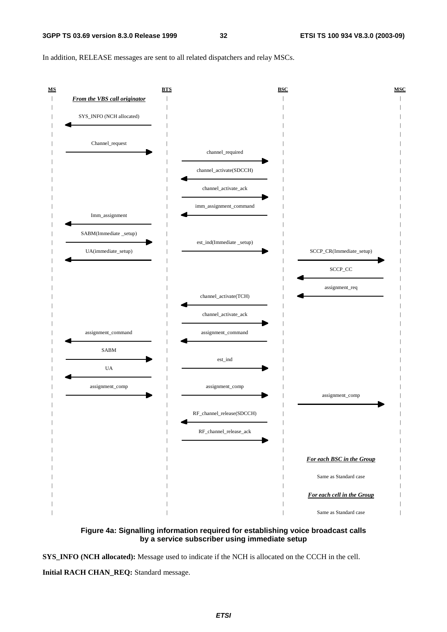In addition, RELEASE messages are sent to all related dispatchers and relay MSCs.





**SYS\_INFO (NCH allocated):** Message used to indicate if the NCH is allocated on the CCCH in the cell.

**Initial RACH CHAN\_REQ:** Standard message.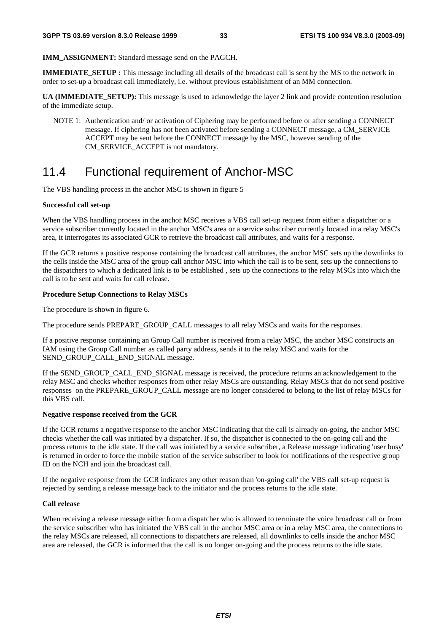**IMM\_ASSIGNMENT:** Standard message send on the PAGCH.

**IMMEDIATE\_SETUP :** This message including all details of the broadcast call is sent by the MS to the network in order to set-up a broadcast call immediately, i.e. without previous establishment of an MM connection.

**UA (IMMEDIATE\_SETUP):** This message is used to acknowledge the layer 2 link and provide contention resolution of the immediate setup.

NOTE 1: Authentication and/ or activation of Ciphering may be performed before or after sending a CONNECT message. If ciphering has not been activated before sending a CONNECT message, a CM\_SERVICE ACCEPT may be sent before the CONNECT message by the MSC, however sending of the CM\_SERVICE\_ACCEPT is not mandatory.

## 11.4 Functional requirement of Anchor-MSC

The VBS handling process in the anchor MSC is shown in figure 5

#### **Successful call set-up**

When the VBS handling process in the anchor MSC receives a VBS call set-up request from either a dispatcher or a service subscriber currently located in the anchor MSC's area or a service subscriber currently located in a relay MSC's area, it interrogates its associated GCR to retrieve the broadcast call attributes, and waits for a response.

If the GCR returns a positive response containing the broadcast call attributes, the anchor MSC sets up the downlinks to the cells inside the MSC area of the group call anchor MSC into which the call is to be sent, sets up the connections to the dispatchers to which a dedicated link is to be established , sets up the connections to the relay MSCs into which the call is to be sent and waits for call release.

#### **Procedure Setup Connections to Relay MSCs**

The procedure is shown in figure 6.

The procedure sends PREPARE\_GROUP\_CALL messages to all relay MSCs and waits for the responses.

If a positive response containing an Group Call number is received from a relay MSC, the anchor MSC constructs an IAM using the Group Call number as called party address, sends it to the relay MSC and waits for the SEND\_GROUP\_CALL\_END\_SIGNAL message.

If the SEND\_GROUP\_CALL\_END\_SIGNAL message is received, the procedure returns an acknowledgement to the relay MSC and checks whether responses from other relay MSCs are outstanding. Relay MSCs that do not send positive responses on the PREPARE\_GROUP\_CALL message are no longer considered to belong to the list of relay MSCs for this VBS call.

#### **Negative response received from the GCR**

If the GCR returns a negative response to the anchor MSC indicating that the call is already on-going, the anchor MSC checks whether the call was initiated by a dispatcher. If so, the dispatcher is connected to the on-going call and the process returns to the idle state. If the call was initiated by a service subscriber, a Release message indicating 'user busy' is returned in order to force the mobile station of the service subscriber to look for notifications of the respective group ID on the NCH and join the broadcast call.

If the negative response from the GCR indicates any other reason than 'on-going call' the VBS call set-up request is rejected by sending a release message back to the initiator and the process returns to the idle state.

#### **Call release**

When receiving a release message either from a dispatcher who is allowed to terminate the voice broadcast call or from the service subscriber who has initiated the VBS call in the anchor MSC area or in a relay MSC area, the connections to the relay MSCs are released, all connections to dispatchers are released, all downlinks to cells inside the anchor MSC area are released, the GCR is informed that the call is no longer on-going and the process returns to the idle state.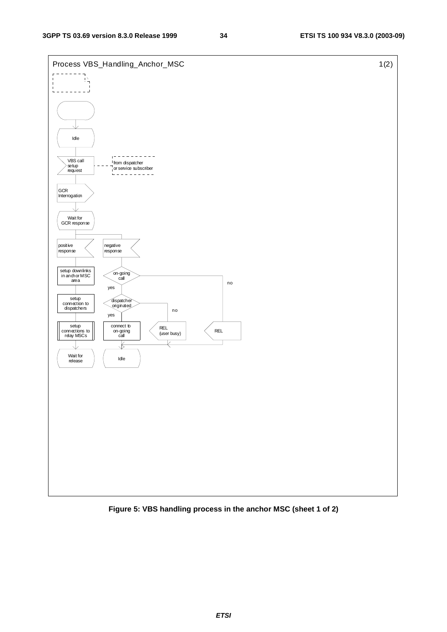

**Figure 5: VBS handling process in the anchor MSC (sheet 1 of 2)** 

**ETSI**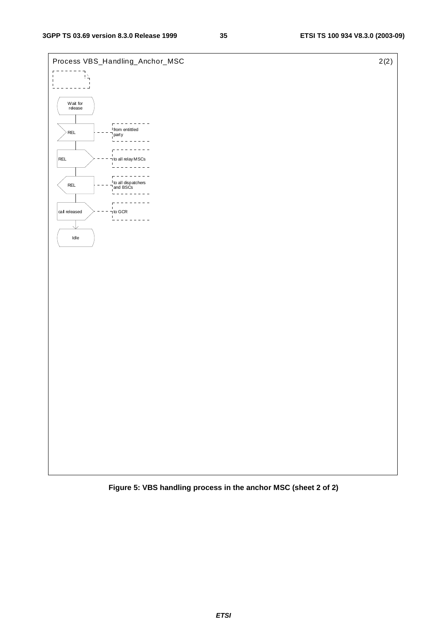

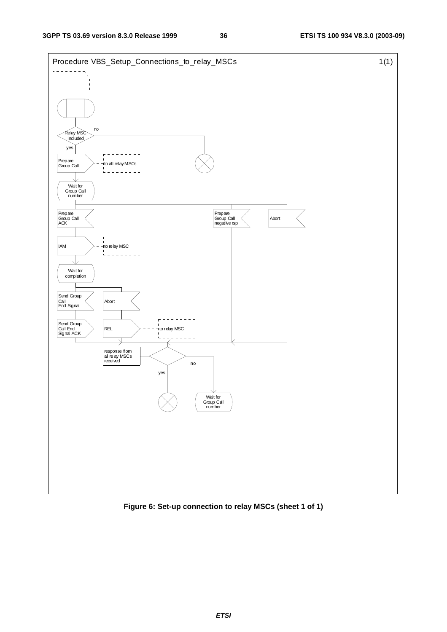

**Figure 6: Set-up connection to relay MSCs (sheet 1 of 1)**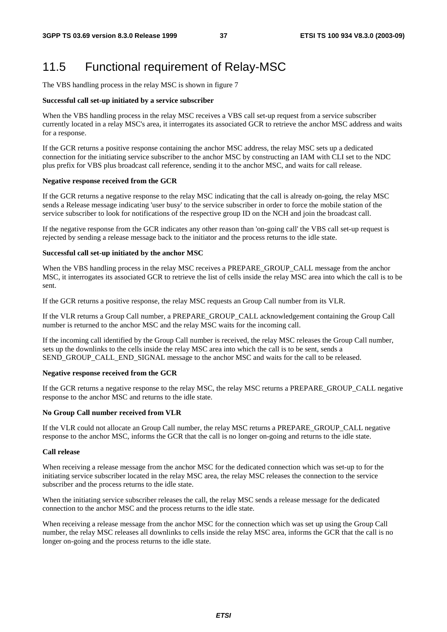## 11.5 Functional requirement of Relay-MSC

The VBS handling process in the relay MSC is shown in figure 7

#### **Successful call set-up initiated by a service subscriber**

When the VBS handling process in the relay MSC receives a VBS call set-up request from a service subscriber currently located in a relay MSC's area, it interrogates its associated GCR to retrieve the anchor MSC address and waits for a response.

If the GCR returns a positive response containing the anchor MSC address, the relay MSC sets up a dedicated connection for the initiating service subscriber to the anchor MSC by constructing an IAM with CLI set to the NDC plus prefix for VBS plus broadcast call reference, sending it to the anchor MSC, and waits for call release.

#### **Negative response received from the GCR**

If the GCR returns a negative response to the relay MSC indicating that the call is already on-going, the relay MSC sends a Release message indicating 'user busy' to the service subscriber in order to force the mobile station of the service subscriber to look for notifications of the respective group ID on the NCH and join the broadcast call.

If the negative response from the GCR indicates any other reason than 'on-going call' the VBS call set-up request is rejected by sending a release message back to the initiator and the process returns to the idle state.

#### **Successful call set-up initiated by the anchor MSC**

When the VBS handling process in the relay MSC receives a PREPARE\_GROUP\_CALL message from the anchor MSC, it interrogates its associated GCR to retrieve the list of cells inside the relay MSC area into which the call is to be sent.

If the GCR returns a positive response, the relay MSC requests an Group Call number from its VLR.

If the VLR returns a Group Call number, a PREPARE\_GROUP\_CALL acknowledgement containing the Group Call number is returned to the anchor MSC and the relay MSC waits for the incoming call.

If the incoming call identified by the Group Call number is received, the relay MSC releases the Group Call number, sets up the downlinks to the cells inside the relay MSC area into which the call is to be sent, sends a SEND\_GROUP\_CALL\_END\_SIGNAL\_message to the anchor MSC and waits for the call to be released.

#### **Negative response received from the GCR**

If the GCR returns a negative response to the relay MSC, the relay MSC returns a PREPARE\_GROUP\_CALL negative response to the anchor MSC and returns to the idle state.

#### **No Group Call number received from VLR**

If the VLR could not allocate an Group Call number, the relay MSC returns a PREPARE\_GROUP\_CALL negative response to the anchor MSC, informs the GCR that the call is no longer on-going and returns to the idle state.

#### **Call release**

When receiving a release message from the anchor MSC for the dedicated connection which was set-up to for the initiating service subscriber located in the relay MSC area, the relay MSC releases the connection to the service subscriber and the process returns to the idle state.

When the initiating service subscriber releases the call, the relay MSC sends a release message for the dedicated connection to the anchor MSC and the process returns to the idle state.

When receiving a release message from the anchor MSC for the connection which was set up using the Group Call number, the relay MSC releases all downlinks to cells inside the relay MSC area, informs the GCR that the call is no longer on-going and the process returns to the idle state.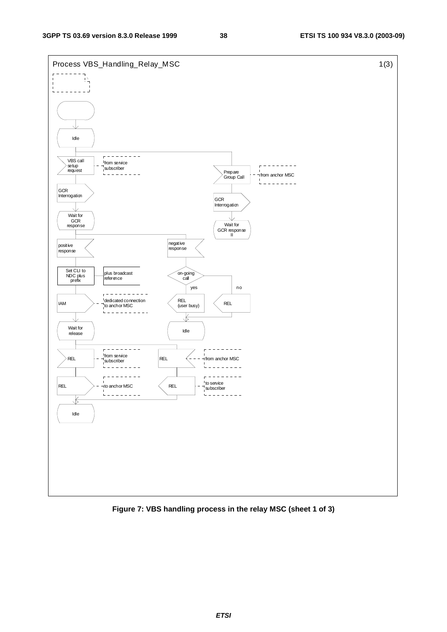

**Figure 7: VBS handling process in the relay MSC (sheet 1 of 3)**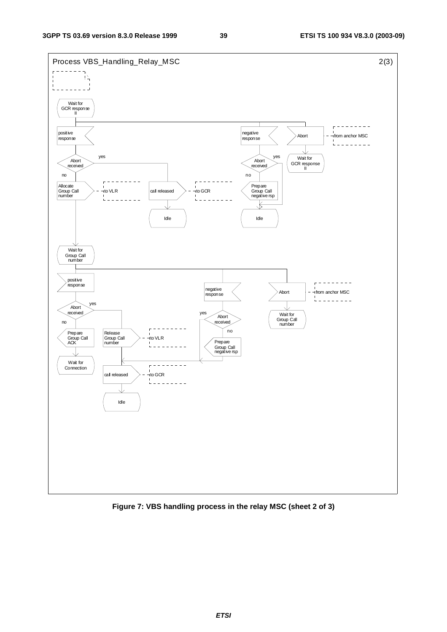

**Figure 7: VBS handling process in the relay MSC (sheet 2 of 3)**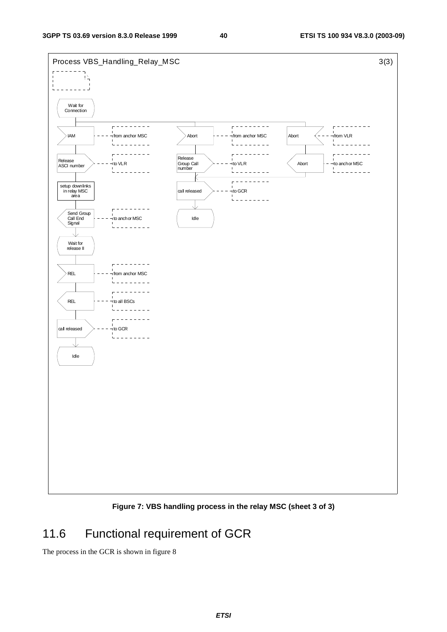

**Figure 7: VBS handling process in the relay MSC (sheet 3 of 3)** 

## 11.6 Functional requirement of GCR

The process in the GCR is shown in figure 8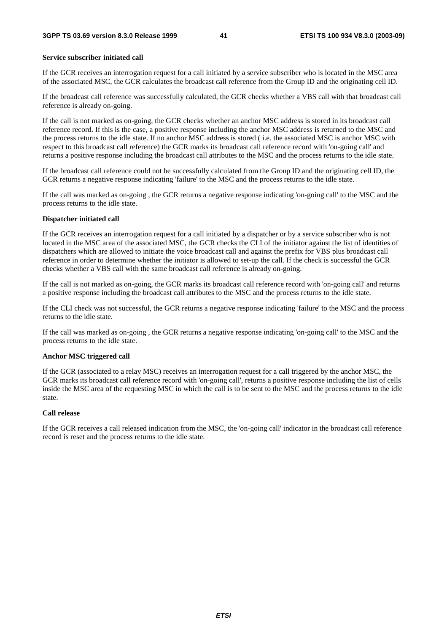#### **Service subscriber initiated call**

If the GCR receives an interrogation request for a call initiated by a service subscriber who is located in the MSC area of the associated MSC, the GCR calculates the broadcast call reference from the Group ID and the originating cell ID.

If the broadcast call reference was successfully calculated, the GCR checks whether a VBS call with that broadcast call reference is already on-going.

If the call is not marked as on-going, the GCR checks whether an anchor MSC address is stored in its broadcast call reference record. If this is the case, a positive response including the anchor MSC address is returned to the MSC and the process returns to the idle state. If no anchor MSC address is stored ( i.e. the associated MSC is anchor MSC with respect to this broadcast call reference) the GCR marks its broadcast call reference record with 'on-going call' and returns a positive response including the broadcast call attributes to the MSC and the process returns to the idle state.

If the broadcast call reference could not be successfully calculated from the Group ID and the originating cell ID, the GCR returns a negative response indicating 'failure' to the MSC and the process returns to the idle state.

If the call was marked as on-going , the GCR returns a negative response indicating 'on-going call' to the MSC and the process returns to the idle state.

#### **Dispatcher initiated call**

If the GCR receives an interrogation request for a call initiated by a dispatcher or by a service subscriber who is not located in the MSC area of the associated MSC, the GCR checks the CLI of the initiator against the list of identities of dispatchers which are allowed to initiate the voice broadcast call and against the prefix for VBS plus broadcast call reference in order to determine whether the initiator is allowed to set-up the call. If the check is successful the GCR checks whether a VBS call with the same broadcast call reference is already on-going.

If the call is not marked as on-going, the GCR marks its broadcast call reference record with 'on-going call' and returns a positive response including the broadcast call attributes to the MSC and the process returns to the idle state.

If the CLI check was not successful, the GCR returns a negative response indicating 'failure' to the MSC and the process returns to the idle state.

If the call was marked as on-going , the GCR returns a negative response indicating 'on-going call' to the MSC and the process returns to the idle state.

#### **Anchor MSC triggered call**

If the GCR (associated to a relay MSC) receives an interrogation request for a call triggered by the anchor MSC, the GCR marks its broadcast call reference record with 'on-going call', returns a positive response including the list of cells inside the MSC area of the requesting MSC in which the call is to be sent to the MSC and the process returns to the idle state.

#### **Call release**

If the GCR receives a call released indication from the MSC, the 'on-going call' indicator in the broadcast call reference record is reset and the process returns to the idle state.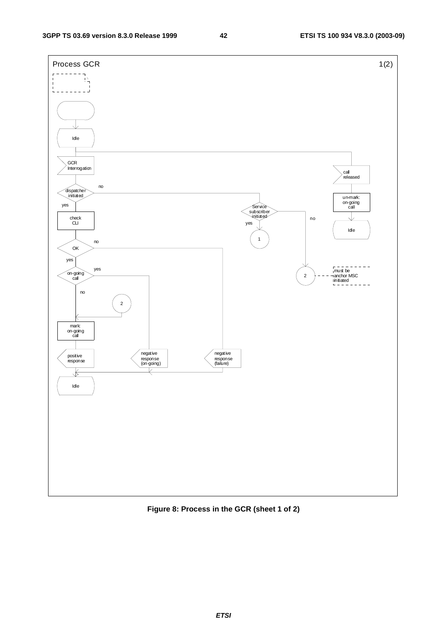

**Figure 8: Process in the GCR (sheet 1 of 2)** 

**ETSI**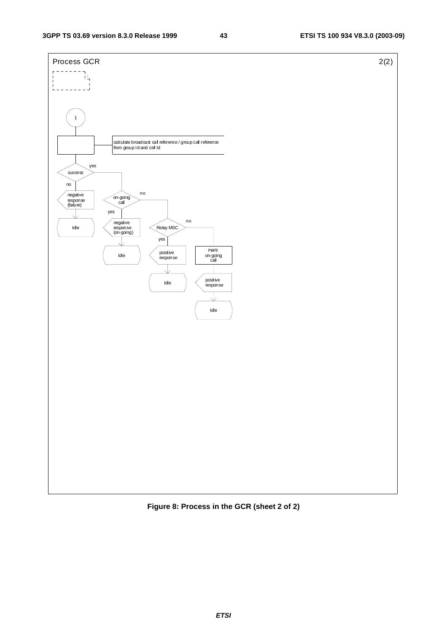

**Figure 8: Process in the GCR (sheet 2 of 2)**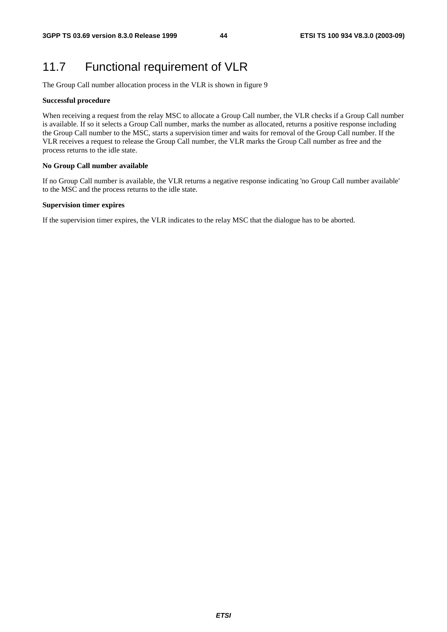## 11.7 Functional requirement of VLR

The Group Call number allocation process in the VLR is shown in figure 9

#### **Successful procedure**

When receiving a request from the relay MSC to allocate a Group Call number, the VLR checks if a Group Call number is available. If so it selects a Group Call number, marks the number as allocated, returns a positive response including the Group Call number to the MSC, starts a supervision timer and waits for removal of the Group Call number. If the VLR receives a request to release the Group Call number, the VLR marks the Group Call number as free and the process returns to the idle state.

#### **No Group Call number available**

If no Group Call number is available, the VLR returns a negative response indicating 'no Group Call number available' to the MSC and the process returns to the idle state.

#### **Supervision timer expires**

If the supervision timer expires, the VLR indicates to the relay MSC that the dialogue has to be aborted.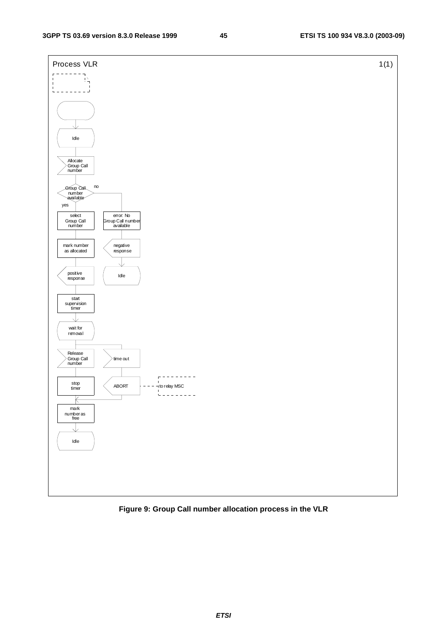

### **Figure 9: Group Call number allocation process in the VLR**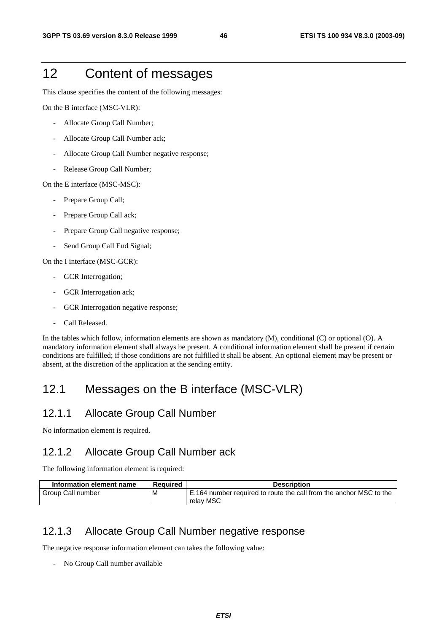## 12 Content of messages

This clause specifies the content of the following messages:

On the B interface (MSC-VLR):

- Allocate Group Call Number;
- Allocate Group Call Number ack;
- Allocate Group Call Number negative response;
- Release Group Call Number;

On the E interface (MSC-MSC):

- Prepare Group Call;
- Prepare Group Call ack;
- Prepare Group Call negative response;
- Send Group Call End Signal;

On the I interface (MSC-GCR):

- GCR Interrogation;
- GCR Interrogation ack;
- GCR Interrogation negative response;
- Call Released.

In the tables which follow, information elements are shown as mandatory (M), conditional (C) or optional (O). A mandatory information element shall always be present. A conditional information element shall be present if certain conditions are fulfilled; if those conditions are not fulfilled it shall be absent. An optional element may be present or absent, at the discretion of the application at the sending entity.

## 12.1 Messages on the B interface (MSC-VLR)

### 12.1.1 Allocate Group Call Number

No information element is required.

### 12.1.2 Allocate Group Call Number ack

The following information element is required:

| Information element name | Reauired | <b>Description</b>                                                              |
|--------------------------|----------|---------------------------------------------------------------------------------|
| Group Call number        | м        | E.164 number required to route the call from the anchor MSC to the<br>relav MSC |

### 12.1.3 Allocate Group Call Number negative response

The negative response information element can takes the following value:

- No Group Call number available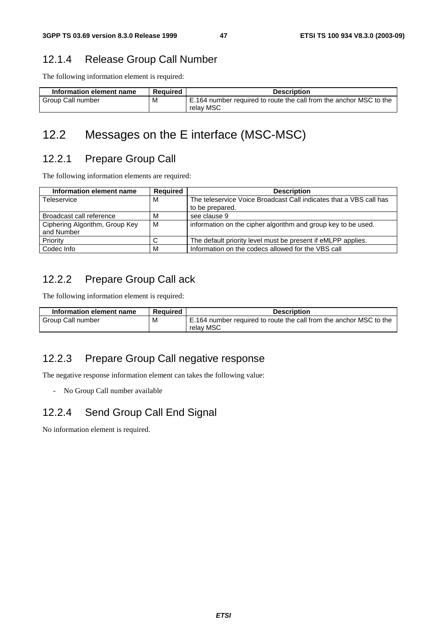### 12.1.4 Release Group Call Number

The following information element is required:

| Information element name | <b>Required</b> | <b>Description</b>                                                              |
|--------------------------|-----------------|---------------------------------------------------------------------------------|
| Group Call number        | M               | E.164 number required to route the call from the anchor MSC to the<br>relay MSC |

## 12.2 Messages on the E interface (MSC-MSC)

### 12.2.1 Prepare Group Call

The following information elements are required:

| Information element name                     | <b>Required</b> | <b>Description</b>                                                 |
|----------------------------------------------|-----------------|--------------------------------------------------------------------|
| Teleservice                                  | м               | The teleservice Voice Broadcast Call indicates that a VBS call has |
|                                              |                 | to be prepared.                                                    |
| Broadcast call reference                     | м               | see clause 9                                                       |
| Ciphering Algorithm, Group Key<br>and Number | м               | information on the cipher algorithm and group key to be used.      |
| Priority                                     |                 | The default priority level must be present if eMLPP applies.       |
|                                              |                 |                                                                    |
| Codec Info                                   | м               | Information on the codecs allowed for the VBS call                 |

### 12.2.2 Prepare Group Call ack

The following information element is required:

| Information element name | <b>Required</b> | <b>Description</b>                                                 |
|--------------------------|-----------------|--------------------------------------------------------------------|
| Group Call number        | M               | E.164 number required to route the call from the anchor MSC to the |
|                          |                 | relay MSC                                                          |

### 12.2.3 Prepare Group Call negative response

The negative response information element can takes the following value:

- No Group Call number available

### 12.2.4 Send Group Call End Signal

No information element is required.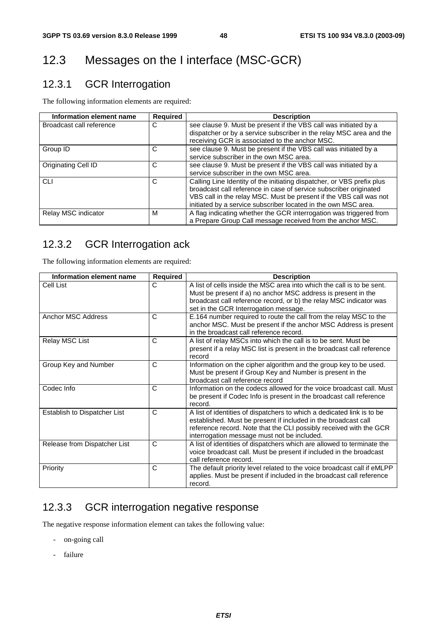## 12.3 Messages on the I interface (MSC-GCR)

## 12.3.1 GCR Interrogation

The following information elements are required:

| Information element name | <b>Required</b> | <b>Description</b>                                                                                                                                                                                                                                                                  |
|--------------------------|-----------------|-------------------------------------------------------------------------------------------------------------------------------------------------------------------------------------------------------------------------------------------------------------------------------------|
| Broadcast call reference | С               | see clause 9. Must be present if the VBS call was initiated by a<br>dispatcher or by a service subscriber in the relay MSC area and the<br>receiving GCR is associated to the anchor MSC.                                                                                           |
| Group ID                 | C               | see clause 9. Must be present if the VBS call was initiated by a<br>service subscriber in the own MSC area.                                                                                                                                                                         |
| Originating Cell ID      | С               | see clause 9. Must be present if the VBS call was initiated by a<br>service subscriber in the own MSC area.                                                                                                                                                                         |
| <b>CLI</b>               | С               | Calling Line Identity of the initiating dispatcher, or VBS prefix plus<br>broadcast call reference in case of service subscriber originated<br>VBS call in the relay MSC. Must be present if the VBS call was not<br>initiated by a service subscriber located in the own MSC area. |
| Relay MSC indicator      | м               | A flag indicating whether the GCR interrogation was triggered from<br>a Prepare Group Call message received from the anchor MSC.                                                                                                                                                    |

## 12.3.2 GCR Interrogation ack

The following information elements are required:

| Information element name     | <b>Required</b> | <b>Description</b>                                                                                                                                                                                                                                            |
|------------------------------|-----------------|---------------------------------------------------------------------------------------------------------------------------------------------------------------------------------------------------------------------------------------------------------------|
| Cell List                    | C               | A list of cells inside the MSC area into which the call is to be sent.<br>Must be present if a) no anchor MSC address is present in the                                                                                                                       |
|                              |                 | broadcast call reference record, or b) the relay MSC indicator was                                                                                                                                                                                            |
|                              |                 | set in the GCR Interrogation message.                                                                                                                                                                                                                         |
| Anchor MSC Address           | C               | E.164 number required to route the call from the relay MSC to the<br>anchor MSC. Must be present if the anchor MSC Address is present<br>in the broadcast call reference record.                                                                              |
| Relay MSC List               | C               | A list of relay MSCs into which the call is to be sent. Must be<br>present if a relay MSC list is present in the broadcast call reference<br>record                                                                                                           |
| Group Key and Number         | C               | Information on the cipher algorithm and the group key to be used.<br>Must be present if Group Key and Number is present in the<br>broadcast call reference record                                                                                             |
| Codec Info                   | C               | Information on the codecs allowed for the voice broadcast call. Must<br>be present if Codec Info is present in the broadcast call reference<br>record.                                                                                                        |
| Establish to Dispatcher List | C               | A list of identities of dispatchers to which a dedicated link is to be<br>established. Must be present if included in the broadcast call<br>reference record. Note that the CLI possibly received with the GCR<br>interrogation message must not be included. |
| Release from Dispatcher List | C               | A list of identities of dispatchers which are allowed to terminate the<br>voice broadcast call. Must be present if included in the broadcast<br>call reference record.                                                                                        |
| Priority                     | C               | The default priority level related to the voice broadcast call if eMLPP<br>applies. Must be present if included in the broadcast call reference<br>record.                                                                                                    |

### 12.3.3 GCR interrogation negative response

The negative response information element can takes the following value:

- on-going call
- failure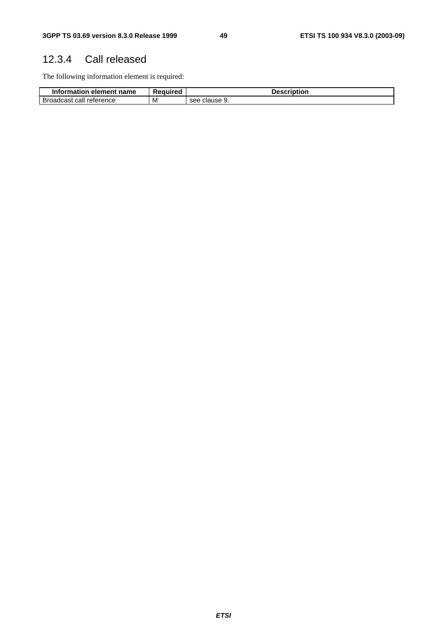## 12.3.4 Call released

The following information element is required:

| <b>Information</b><br>element name ا | Required | Description      |  |  |  |
|--------------------------------------|----------|------------------|--|--|--|
| Broadcast call<br>reterence          | M        | clause 9.<br>see |  |  |  |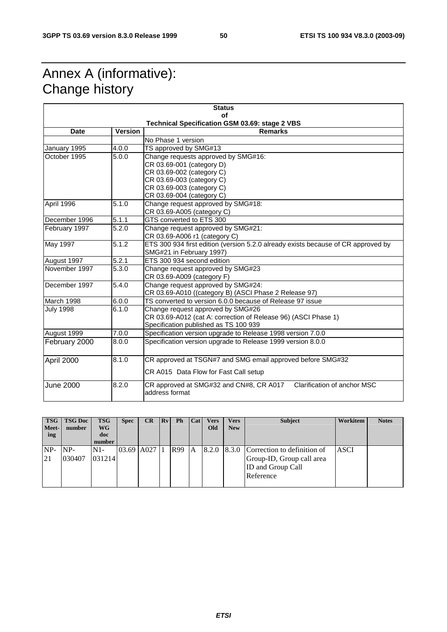## Annex A (informative): Change history

| <b>Status</b>                                   |       |                                                                                                                                                                                      |  |  |  |  |  |  |
|-------------------------------------------------|-------|--------------------------------------------------------------------------------------------------------------------------------------------------------------------------------------|--|--|--|--|--|--|
|                                                 |       | იf<br><b>Technical Specification GSM 03.69: stage 2 VBS</b>                                                                                                                          |  |  |  |  |  |  |
| <b>Version</b><br><b>Remarks</b><br><b>Date</b> |       |                                                                                                                                                                                      |  |  |  |  |  |  |
|                                                 |       | No Phase 1 version                                                                                                                                                                   |  |  |  |  |  |  |
| January 1995                                    | 4.0.0 | TS approved by SMG#13                                                                                                                                                                |  |  |  |  |  |  |
| October 1995                                    | 5.0.0 | Change requests approved by SMG#16:<br>CR 03.69-001 (category D)<br>CR 03.69-002 (category C)<br>CR 03.69-003 (category C)<br>CR 03.69-003 (category C)<br>CR 03.69-004 (category C) |  |  |  |  |  |  |
| April 1996                                      | 5.1.0 | Change request approved by SMG#18:<br>CR 03.69-A005 (category C)                                                                                                                     |  |  |  |  |  |  |
| December 1996                                   | 5.1.1 | GTS converted to ETS 300                                                                                                                                                             |  |  |  |  |  |  |
| February 1997                                   | 5.2.0 | Change request approved by SMG#21:<br>CR 03.69-A006 r1 (category C)                                                                                                                  |  |  |  |  |  |  |
| May 1997                                        | 5.1.2 | ETS 300 934 first edition (version 5.2.0 already exists because of CR approved by<br>SMG#21 in February 1997)                                                                        |  |  |  |  |  |  |
| August 1997                                     | 5.2.1 | ETS 300 934 second edition                                                                                                                                                           |  |  |  |  |  |  |
| November 1997                                   | 5.3.0 | Change request approved by SMG#23<br>CR 03.69-A009 (category F)                                                                                                                      |  |  |  |  |  |  |
| December 1997                                   | 5.4.0 | Change request approved by SMG#24:<br>CR 03.69-A010 ((category B) (ASCI Phase 2 Release 97)                                                                                          |  |  |  |  |  |  |
| March 1998                                      | 6.0.0 | TS converted to version 6.0.0 because of Release 97 issue                                                                                                                            |  |  |  |  |  |  |
| <b>July 1998</b>                                | 6.1.0 | Change request approved by SMG#26<br>CR 03.69-A012 (cat A: correction of Release 96) (ASCI Phase 1)<br>Specification published as TS 100 939                                         |  |  |  |  |  |  |
| August 1999                                     | 7.0.0 | Specification version upgrade to Release 1998 version 7.0.0                                                                                                                          |  |  |  |  |  |  |
| February 2000                                   | 8.0.0 | Specification version upgrade to Release 1999 version 8.0.0                                                                                                                          |  |  |  |  |  |  |
| April 2000                                      | 8.1.0 | CR approved at TSGN#7 and SMG email approved before SMG#32<br>CR A015 Data Flow for Fast Call setup                                                                                  |  |  |  |  |  |  |
| <b>June 2000</b>                                | 8.2.0 | Clarification of anchor MSC<br>CR approved at SMG#32 and CN#8, CR A017<br>address format                                                                                             |  |  |  |  |  |  |

| <b>TSG</b><br>Meet-<br>ing | <b>TSG Doc</b><br>number | <b>TSG</b><br>WG<br>doc<br>number | <b>Spec</b> | <b>CR</b>  | Rv | <b>Ph</b> | Cat | <b>Vers</b><br>Old | <b>Vers</b><br><b>New</b> | <b>Subject</b>                                              | Workitem | <b>Notes</b> |
|----------------------------|--------------------------|-----------------------------------|-------------|------------|----|-----------|-----|--------------------|---------------------------|-------------------------------------------------------------|----------|--------------|
| $NP-$                      | $NP-$                    | $N1-$                             |             | 03.69 A027 |    | R99       | A   |                    |                           | $\vert 8.2.0 \vert 8.3.0 \vert$ Correction to definition of | ASCI     |              |
| 21                         | 030407                   | 031214                            |             |            |    |           |     |                    |                           | Group-ID, Group call area                                   |          |              |
|                            |                          |                                   |             |            |    |           |     |                    |                           | ID and Group Call                                           |          |              |
|                            |                          |                                   |             |            |    |           |     |                    |                           | Reference                                                   |          |              |